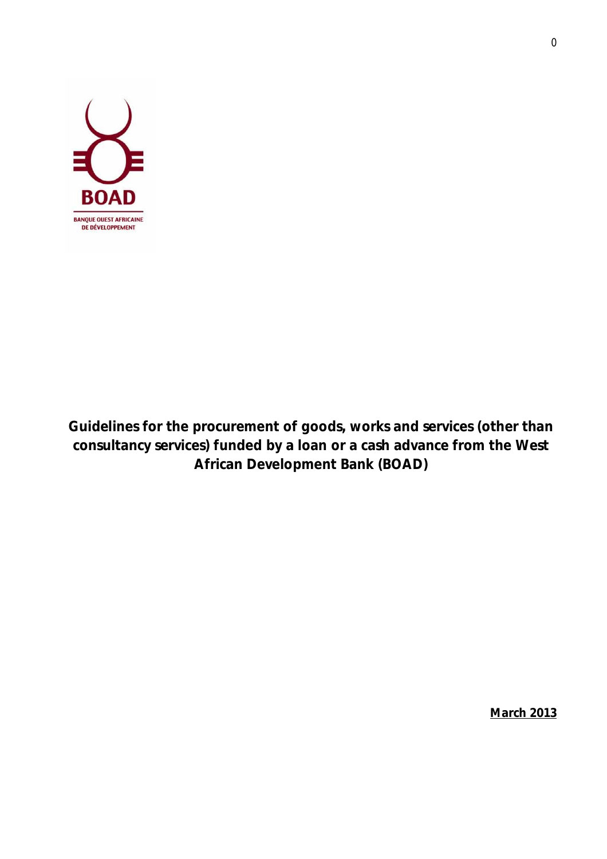

**Guidelines for the procurement of goods, works and services (other than consultancy services) funded by a loan or a cash advance from the West African Development Bank (BOAD)**

**March 2013**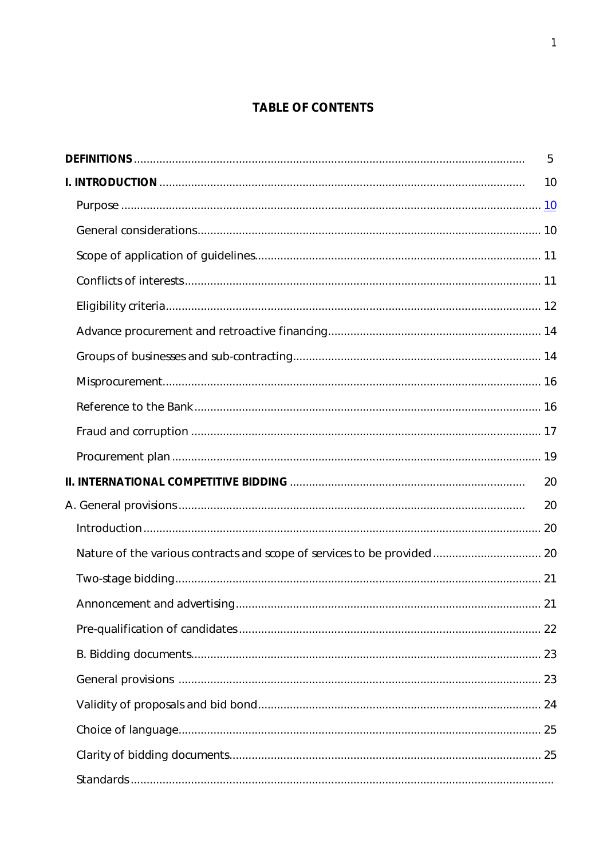# **TABLE OF CONTENTS**

| 5  |
|----|
| 10 |
|    |
|    |
|    |
|    |
|    |
|    |
|    |
|    |
|    |
|    |
|    |
| 20 |
| 20 |
|    |
|    |
|    |
|    |
|    |
|    |
|    |
|    |
|    |
|    |
|    |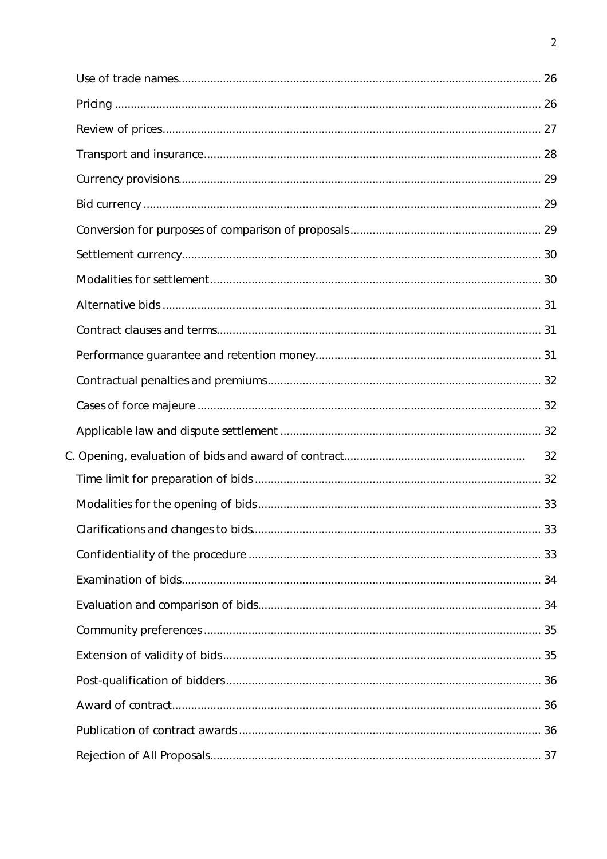|  | 32 |
|--|----|
|  |    |
|  |    |
|  |    |
|  |    |
|  |    |
|  |    |
|  |    |
|  |    |
|  |    |
|  |    |
|  |    |
|  |    |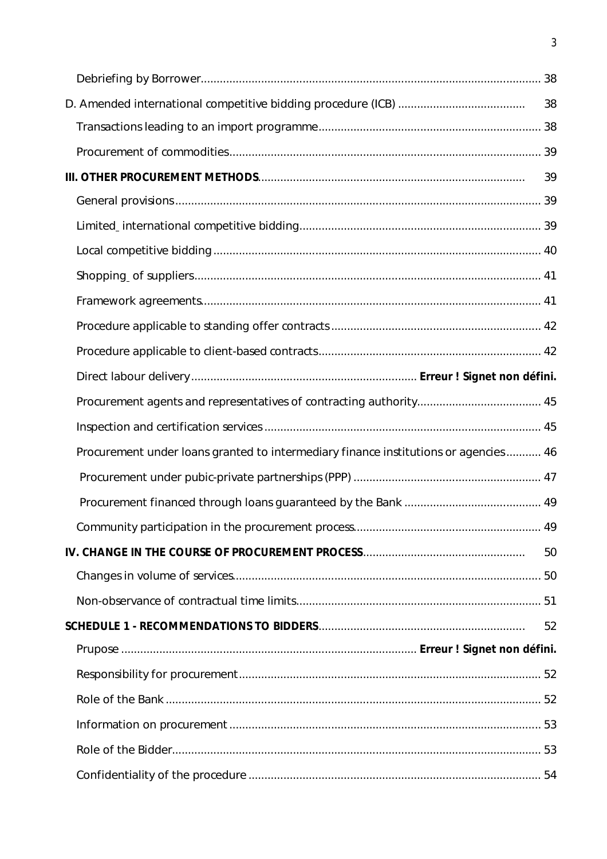|                                                                                     | 38 |
|-------------------------------------------------------------------------------------|----|
|                                                                                     |    |
|                                                                                     |    |
|                                                                                     | 39 |
|                                                                                     |    |
|                                                                                     |    |
|                                                                                     |    |
|                                                                                     |    |
|                                                                                     |    |
|                                                                                     |    |
|                                                                                     |    |
|                                                                                     |    |
|                                                                                     |    |
|                                                                                     |    |
| Procurement under loans granted to intermediary finance institutions or agencies 46 |    |
|                                                                                     |    |
|                                                                                     |    |
|                                                                                     |    |
|                                                                                     | 50 |
|                                                                                     |    |
|                                                                                     |    |
|                                                                                     | 52 |
|                                                                                     |    |
|                                                                                     |    |
|                                                                                     |    |
|                                                                                     |    |
|                                                                                     |    |
|                                                                                     |    |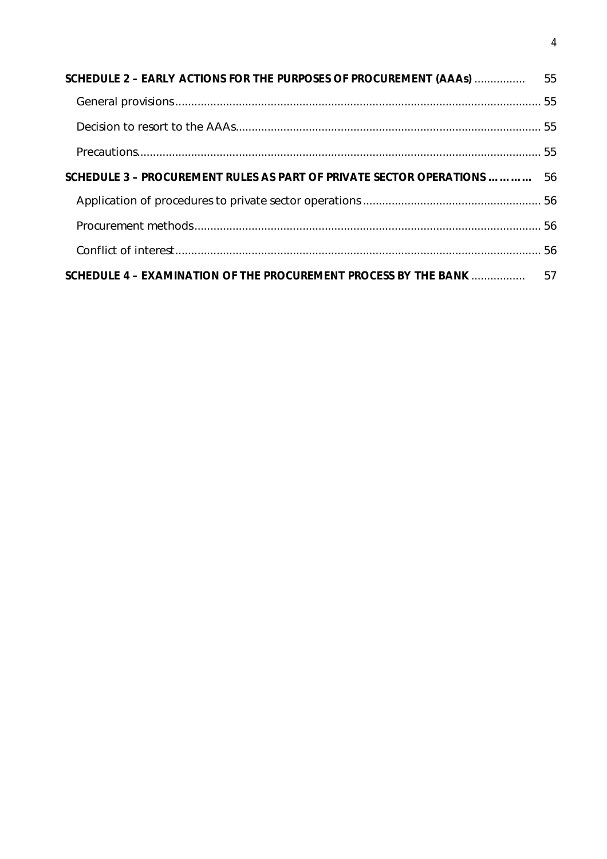| SCHEDULE 3 - PROCUREMENT RULES AS PART OF PRIVATE SECTOR OPERATIONS  56 |  |
|-------------------------------------------------------------------------|--|
|                                                                         |  |
|                                                                         |  |
|                                                                         |  |
| SCHEDULE 4 - EXAMINATION OF THE PROCUREMENT PROCESS BY THE BANK  57     |  |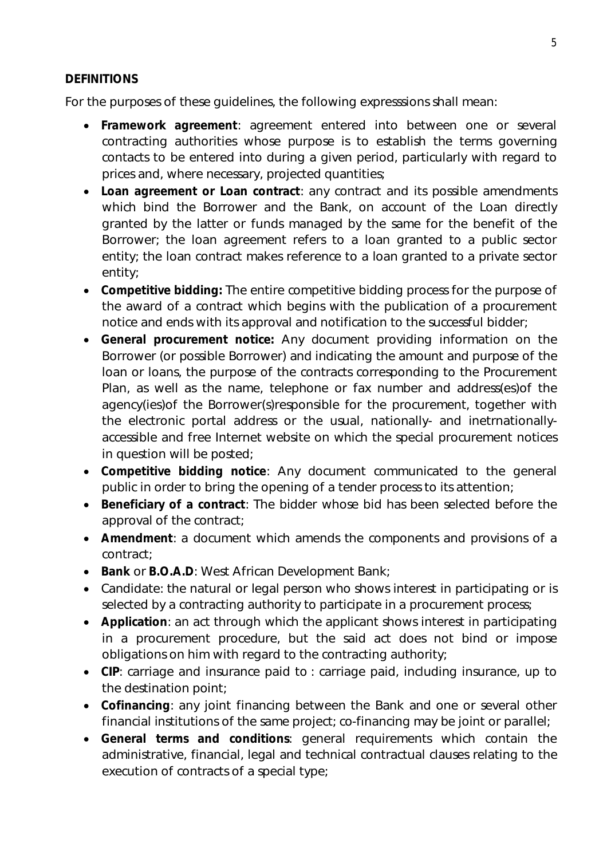#### **DEFINITIONS**

For the purposes of these guidelines, the following expresssions shall mean:

- **Framework agreement**: agreement entered into between one or several contracting authorities whose purpose is to establish the terms governing contacts to be entered into during a given period, particularly with regard to prices and, where necessary, projected quantities;
- **Loan agreement or Loan contract**: any contract and its possible amendments which bind the Borrower and the Bank, on account of the Loan directly granted by the latter or funds managed by the same for the benefit of the Borrower; the loan agreement refers to a loan granted to a public sector entity; the loan contract makes reference to a loan granted to a private sector entity;
- **Competitive bidding:** The entire competitive bidding process for the purpose of the award of a contract which begins with the publication of a procurement notice and ends with its approval and notification to the successful bidder;
- **General procurement notice:** Any document providing information on the Borrower (or possible Borrower) and indicating the amount and purpose of the loan or loans, the purpose of the contracts corresponding to the Procurement Plan, as well as the name, telephone or fax number and address(es)of the agency(ies)of the Borrower(s)responsible for the procurement, together with the electronic portal address or the usual, nationally- and inetrnationallyaccessible and free Internet website on which the special procurement notices in question will be posted;
- **Competitive bidding notice**: Any document communicated to the general public in order to bring the opening of a tender process to its attention;
- **Beneficiary of a contract**: The bidder whose bid has been selected before the approval of the contract;
- **Amendment**: a document which amends the components and provisions of a contract;
- **Bank or B.O.A.D:** West African Development Bank;
- Candidate: the natural or legal person who shows interest in participating or is selected by a contracting authority to participate in a procurement process;
- **Application**: an act through which the applicant shows interest in participating in a procurement procedure, but the said act does not bind or impose obligations on him with regard to the contracting authority;
- **CIP**: carriage and insurance paid to : carriage paid, including insurance, up to the destination point;
- **Cofinancing**: any joint financing between the Bank and one or several other financial institutions of the same project; co-financing may be joint or parallel;
- **General terms and conditions**: general requirements which contain the administrative, financial, legal and technical contractual clauses relating to the execution of contracts of a special type;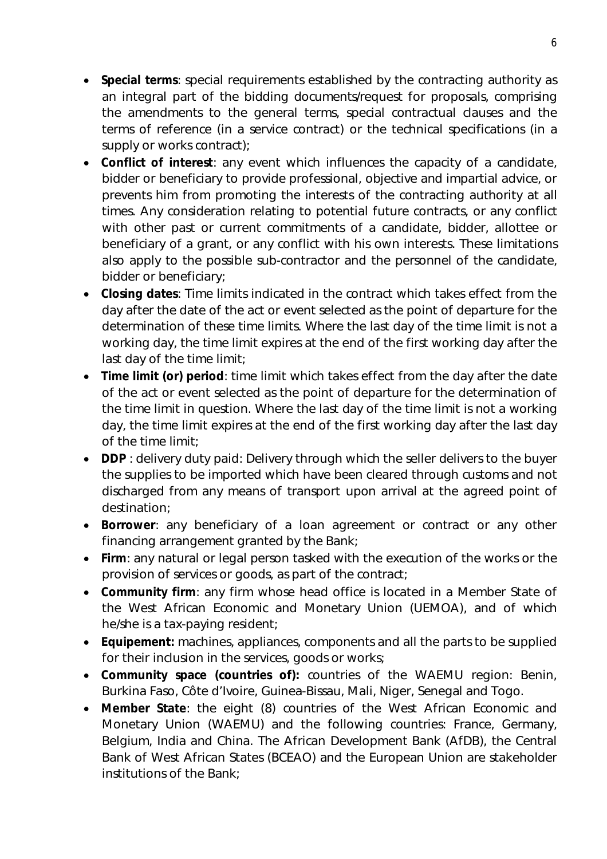- **Special terms**: special requirements established by the contracting authority as an integral part of the bidding documents/request for proposals, comprising the amendments to the general terms, special contractual clauses and the terms of reference (in a service contract) or the technical specifications (in a supply or works contract);
- **Conflict of interest**: any event which influences the capacity of a candidate, bidder or beneficiary to provide professional, objective and impartial advice, or prevents him from promoting the interests of the contracting authority at all times. Any consideration relating to potential future contracts, or any conflict with other past or current commitments of a candidate, bidder, allottee or beneficiary of a grant, or any conflict with his own interests. These limitations also apply to the possible sub-contractor and the personnel of the candidate, bidder or beneficiary;
- **Closing dates**: Time limits indicated in the contract which takes effect from the day after the date of the act or event selected as the point of departure for the determination of these time limits. Where the last day of the time limit is not a working day, the time limit expires at the end of the first working day after the last day of the time limit;
- **Time limit (or) period**: time limit which takes effect from the day after the date of the act or event selected as the point of departure for the determination of the time limit in question. Where the last day of the time limit is not a working day, the time limit expires at the end of the first working day after the last day of the time limit;
- **DDP**: delivery duty paid: Delivery through which the seller delivers to the buyer the supplies to be imported which have been cleared through customs and not discharged from any means of transport upon arrival at the agreed point of destination;
- **Borrower**: any beneficiary of a loan agreement or contract or any other financing arrangement granted by the Bank;
- **Firm**: any natural or legal person tasked with the execution of the works or the provision of services or goods, as part of the contract;
- **Community firm**: any firm whose head office is located in a Member State of the West African Economic and Monetary Union (UEMOA), and of which he/she is a tax-paying resident;
- **Equipement:** machines, appliances, components and all the parts to be supplied for their inclusion in the services, goods or works;
- **Community space (countries of):** countries of the WAEMU region: Benin, Burkina Faso, Côte d'Ivoire, Guinea-Bissau, Mali, Niger, Senegal and Togo.
- **Member State**: the eight (8) countries of the West African Economic and Monetary Union (WAEMU) and the following countries: France, Germany, Belgium, India and China. The African Development Bank (AfDB), the Central Bank of West African States (BCEAO) and the European Union are stakeholder institutions of the Bank;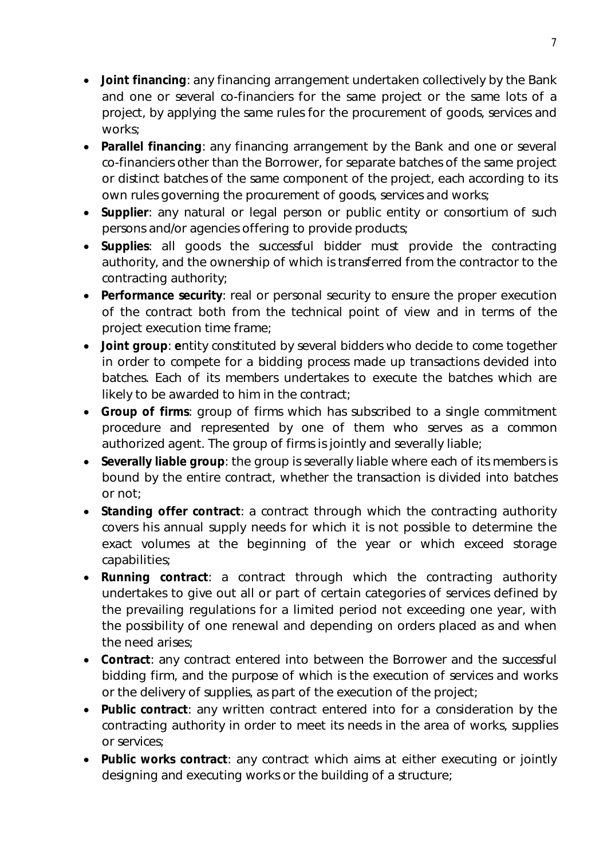- **Joint financing**: any financing arrangement undertaken collectively by the Bank and one or several co-financiers for the same project or the same lots of a project, by applying the same rules for the procurement of goods, services and works;
- **Parallel financing**: any financing arrangement by the Bank and one or several co-financiers other than the Borrower, for separate batches of the same project or distinct batches of the same component of the project, each according to its own rules governing the procurement of goods, services and works;
- **Supplier**: any natural or legal person or public entity or consortium of such persons and/or agencies offering to provide products;
- **Supplies**: all goods the successful bidder must provide the contracting authority, and the ownership of which is transferred from the contractor to the contracting authority;
- **Performance security**: real or personal security to ensure the proper execution of the contract both from the technical point of view and in terms of the project execution time frame;
- **Joint group**: **e**ntity constituted by several bidders who decide to come together in order to compete for a bidding process made up transactions devided into batches. Each of its members undertakes to execute the batches which are likely to be awarded to him in the contract;
- **Group of firms**: group of firms which has subscribed to a single commitment procedure and represented by one of them who serves as a common authorized agent. The group of firms is jointly and severally liable;
- **Severally liable group**: the group is severally liable where each of its members is bound by the entire contract, whether the transaction is divided into batches or not;
- **Standing offer contract**: a contract through which the contracting authority covers his annual supply needs for which it is not possible to determine the exact volumes at the beginning of the year or which exceed storage capabilities;
- **Running contract**: a contract through which the contracting authority undertakes to give out all or part of certain categories of services defined by the prevailing regulations for a limited period not exceeding one year, with the possibility of one renewal and depending on orders placed as and when the need arises;
- **Contract**: any contract entered into between the Borrower and the successful bidding firm, and the purpose of which is the execution of services and works or the delivery of supplies, as part of the execution of the project;
- **Public contract**: any written contract entered into for a consideration by the contracting authority in order to meet its needs in the area of works, supplies or services;
- **Public works contract**: any contract which aims at either executing or jointly designing and executing works or the building of a structure;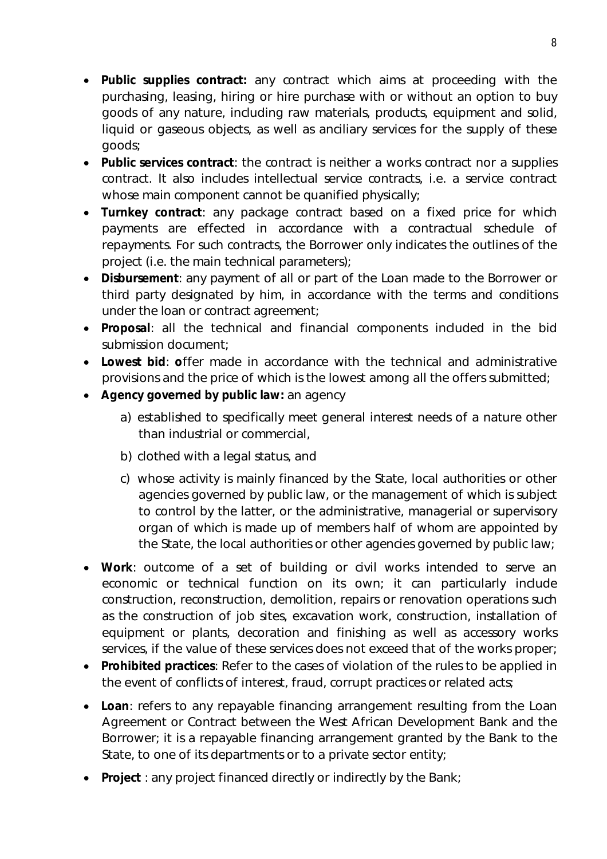- **Public supplies contract:** any contract which aims at proceeding with the purchasing, leasing, hiring or hire purchase with or without an option to buy goods of any nature, including raw materials, products, equipment and solid, liquid or gaseous objects, as well as anciliary services for the supply of these goods;
- **Public services contract**: the contract is neither a works contract nor a supplies contract. It also includes intellectual service contracts, i.e. a service contract whose main component cannot be quanified physically;
- **Turnkey contract**: any package contract based on a fixed price for which payments are effected in accordance with a contractual schedule of repayments. For such contracts, the Borrower only indicates the outlines of the project (i.e. the main technical parameters);
- **Disbursement**: any payment of all or part of the Loan made to the Borrower or third party designated by him, in accordance with the terms and conditions under the loan or contract agreement;
- **Proposal**: all the technical and financial components included in the bid submission document;
- **Lowest bid**: **o**ffer made in accordance with the technical and administrative provisions and the price of which is the lowest among all the offers submitted;
- **Agency governed by public law:** an agency
	- a) established to specifically meet general interest needs of a nature other than industrial or commercial,
	- b) clothed with a legal status, and
	- c) whose activity is mainly financed by the State, local authorities or other agencies governed by public law, or the management of which is subject to control by the latter, or the administrative, managerial or supervisory organ of which is made up of members half of whom are appointed by the State, the local authorities or other agencies governed by public law;
- **Work**: outcome of a set of building or civil works intended to serve an economic or technical function on its own; it can particularly include construction, reconstruction, demolition, repairs or renovation operations such as the construction of job sites, excavation work, construction, installation of equipment or plants, decoration and finishing as well as accessory works services, if the value of these services does not exceed that of the works proper;
- **Prohibited practices**: Refer to the cases of violation of the rules to be applied in the event of conflicts of interest, fraud, corrupt practices or related acts;
- **Loan**: refers to any repayable financing arrangement resulting from the Loan Agreement or Contract between the West African Development Bank and the Borrower; it is a repayable financing arrangement granted by the Bank to the State, to one of its departments or to a private sector entity;
- **Project** : any project financed directly or indirectly by the Bank;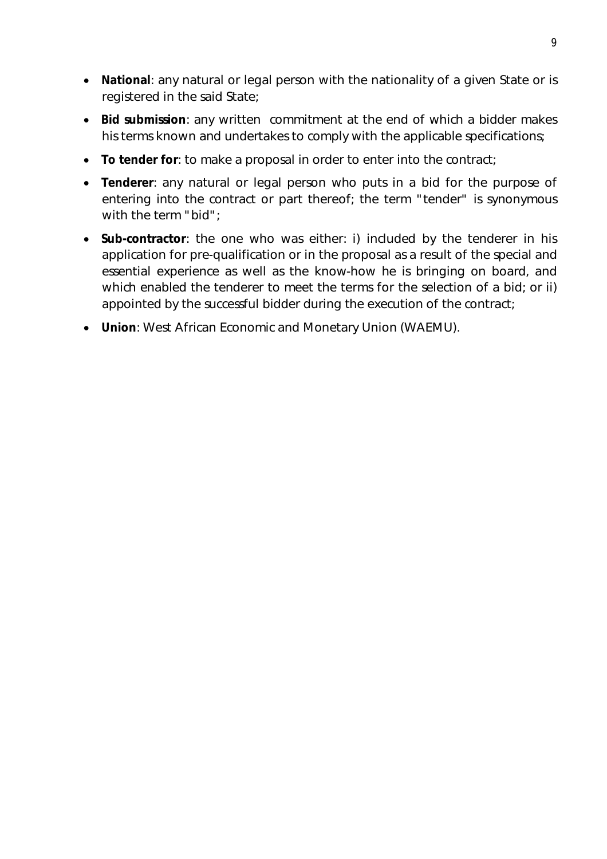- **National**: any natural or legal person with the nationality of a given State or is registered in the said State;
- **Bid submission**: any written commitment at the end of which a bidder makes his terms known and undertakes to comply with the applicable specifications;
- **To tender for**: to make a proposal in order to enter into the contract;
- **Tenderer**: any natural or legal person who puts in a bid for the purpose of entering into the contract or part thereof; the term "tender" is synonymous with the term "bid";
- **Sub-contractor**: the one who was either: i) included by the tenderer in his application for pre-qualification or in the proposal as a result of the special and essential experience as well as the know-how he is bringing on board, and which enabled the tenderer to meet the terms for the selection of a bid; or ii) appointed by the successful bidder during the execution of the contract;
- **Union**: West African Economic and Monetary Union (WAEMU).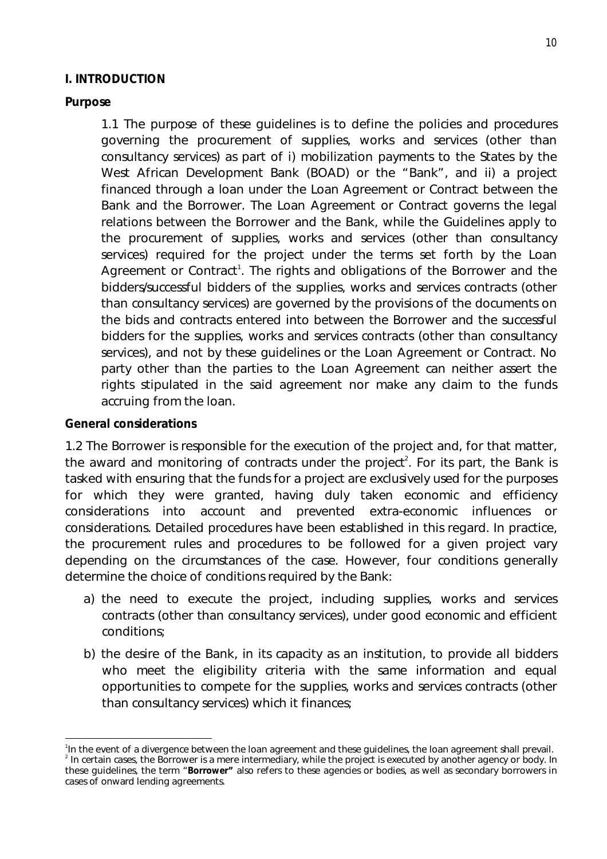#### **I. INTRODUCTION**

#### **Purpose**

1.1 The purpose of these guidelines is to define the policies and procedures governing the procurement of supplies, works and services (other than consultancy services) as part of i) mobilization payments to the States by the West African Development Bank (BOAD) or the "Bank", and ii) a project financed through a loan under the Loan Agreement or Contract between the Bank and the Borrower. The Loan Agreement or Contract governs the legal relations between the Borrower and the Bank, while the Guidelines apply to the procurement of supplies, works and services (other than consultancy services) required for the project under the terms set forth by the Loan Agreement or Contract<sup>1</sup>. The rights and obligations of the Borrower and the bidders/successful bidders of the supplies, works and services contracts (other than consultancy services) are governed by the provisions of the documents on the bids and contracts entered into between the Borrower and the successful bidders for the supplies, works and services contracts (other than consultancy services), and not by these guidelines or the Loan Agreement or Contract. No party other than the parties to the Loan Agreement can neither assert the rights stipulated in the said agreement nor make any claim to the funds accruing from the loan.

#### **General considerations**

1.2 The Borrower is responsible for the execution of the project and, for that matter, the award and monitoring of contracts under the project<sup>2</sup>. For its part, the Bank is tasked with ensuring that the funds for a project are exclusively used for the purposes for which they were granted, having duly taken economic and efficiency considerations into account and prevented extra-economic influences or considerations. Detailed procedures have been established in this regard. In practice, the procurement rules and procedures to be followed for a given project vary depending on the circumstances of the case. However, four conditions generally determine the choice of conditions required by the Bank:

- a) the need to execute the project, including supplies, works and services contracts (other than consultancy services), under good economic and efficient conditions;
- b) the desire of the Bank, in its capacity as an institution, to provide all bidders who meet the eligibility criteria with the same information and equal opportunities to compete for the supplies, works and services contracts (other than consultancy services) which it finances;

 $\overline{\phantom{a}}$ <sup>1</sup>In the event of a divergence between the loan agreement and these guidelines, the loan agreement shall prevail. <sup>2</sup> In certain cases, the Borrower is a mere intermediary, while the project is executed by another agency or body. In these guidelines, the term "**Borrower"** also refers to these agencies or bodies, as well as secondary borrowers in cases of onward lending agreements.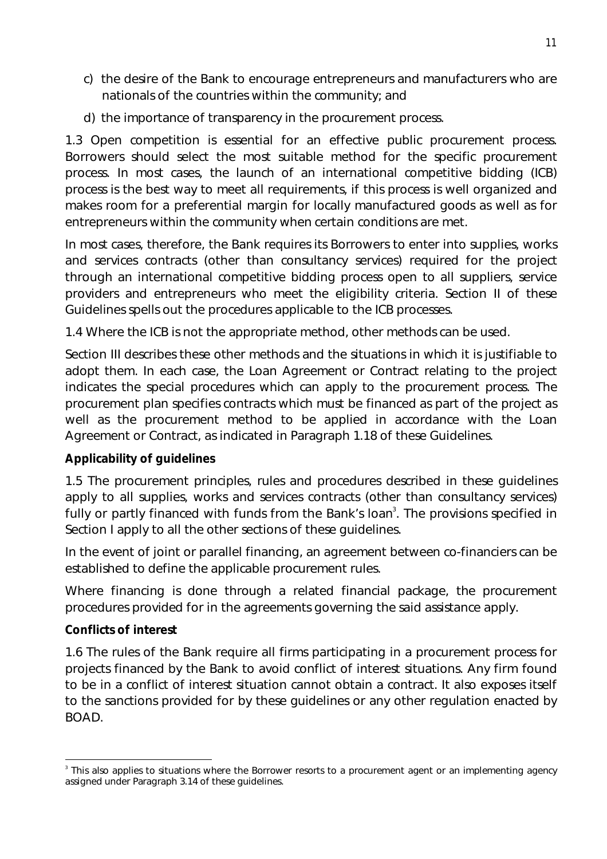- c) the desire of the Bank to encourage entrepreneurs and manufacturers who are nationals of the countries within the community; and
- d) the importance of transparency in the procurement process.

1.3 Open competition is essential for an effective public procurement process. Borrowers should select the most suitable method for the specific procurement process. In most cases, the launch of an international competitive bidding (ICB) process is the best way to meet all requirements, if this process is well organized and makes room for a preferential margin for locally manufactured goods as well as for entrepreneurs within the community when certain conditions are met.

In most cases, therefore, the Bank requires its Borrowers to enter into supplies, works and services contracts (other than consultancy services) required for the project through an international competitive bidding process open to all suppliers, service providers and entrepreneurs who meet the eligibility criteria. Section II of these Guidelines spells out the procedures applicable to the ICB processes.

1.4 Where the ICB is not the appropriate method, other methods can be used.

Section III describes these other methods and the situations in which it is justifiable to adopt them. In each case, the Loan Agreement or Contract relating to the project indicates the special procedures which can apply to the procurement process. The procurement plan specifies contracts which must be financed as part of the project as well as the procurement method to be applied in accordance with the Loan Agreement or Contract, as indicated in Paragraph 1.18 of these Guidelines.

#### **Applicability of guidelines**

1.5 The procurement principles, rules and procedures described in these guidelines apply to all supplies, works and services contracts (other than consultancy services) fully or partly financed with funds from the Bank's loan<sup>3</sup>. The provisions specified in Section I apply to all the other sections of these guidelines.

In the event of joint or parallel financing, an agreement between co-financiers can be established to define the applicable procurement rules.

Where financing is done through a related financial package, the procurement procedures provided for in the agreements governing the said assistance apply.

#### **Conflicts of interest**

1.6 The rules of the Bank require all firms participating in a procurement process for projects financed by the Bank to avoid conflict of interest situations. Any firm found to be in a conflict of interest situation cannot obtain a contract. It also exposes itself to the sanctions provided for by these guidelines or any other regulation enacted by BOAD.

 $\overline{a}$ <sup>3</sup> This also applies to situations where the Borrower resorts to a procurement agent or an implementing agency assigned under Paragraph 3.14 of these guidelines.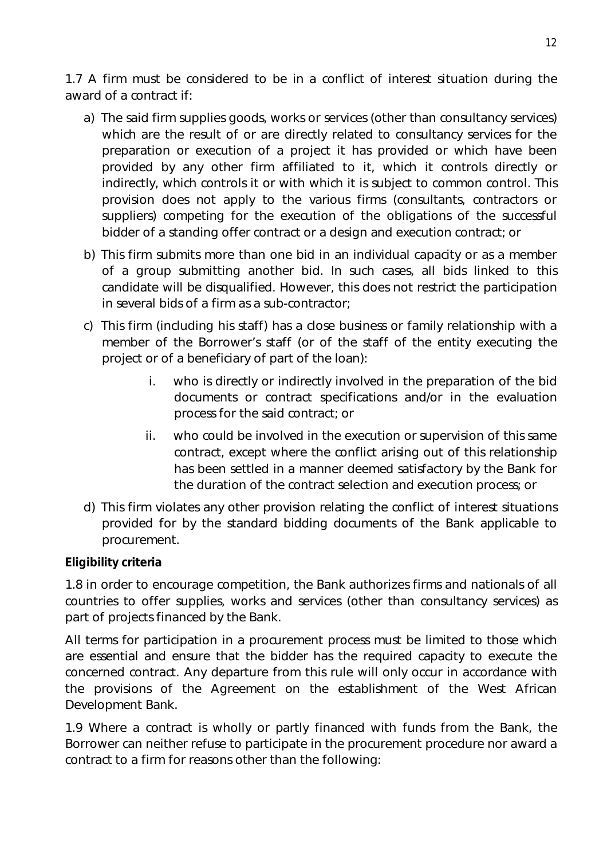1.7 A firm must be considered to be in a conflict of interest situation during the award of a contract if:

- a) The said firm supplies goods, works or services (other than consultancy services) which are the result of or are directly related to consultancy services for the preparation or execution of a project it has provided or which have been provided by any other firm affiliated to it, which it controls directly or indirectly, which controls it or with which it is subject to common control. This provision does not apply to the various firms (consultants, contractors or suppliers) competing for the execution of the obligations of the successful bidder of a standing offer contract or a design and execution contract; or
- b) This firm submits more than one bid in an individual capacity or as a member of a group submitting another bid. In such cases, all bids linked to this candidate will be disqualified. However, this does not restrict the participation in several bids of a firm as a sub-contractor;
- c) This firm (including his staff) has a close business or family relationship with a member of the Borrower's staff (or of the staff of the entity executing the project or of a beneficiary of part of the loan):
	- i. who is directly or indirectly involved in the preparation of the bid documents or contract specifications and/or in the evaluation process for the said contract; or
	- ii. who could be involved in the execution or supervision of this same contract, except where the conflict arising out of this relationship has been settled in a manner deemed satisfactory by the Bank for the duration of the contract selection and execution process; or
- d) This firm violates any other provision relating the conflict of interest situations provided for by the standard bidding documents of the Bank applicable to procurement.

# **Eligibility criteria**

1.8 in order to encourage competition, the Bank authorizes firms and nationals of all countries to offer supplies, works and services (other than consultancy services) as part of projects financed by the Bank.

All terms for participation in a procurement process must be limited to those which are essential and ensure that the bidder has the required capacity to execute the concerned contract. Any departure from this rule will only occur in accordance with the provisions of the Agreement on the establishment of the West African Development Bank.

1.9 Where a contract is wholly or partly financed with funds from the Bank, the Borrower can neither refuse to participate in the procurement procedure nor award a contract to a firm for reasons other than the following: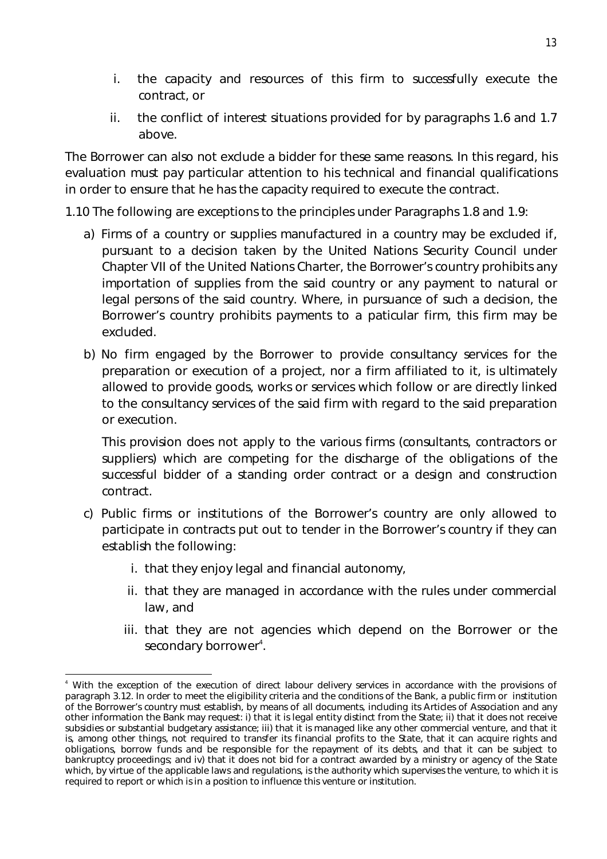- i. the capacity and resources of this firm to successfully execute the contract, or
- ii. the conflict of interest situations provided for by paragraphs 1.6 and 1.7 above.

The Borrower can also not exclude a bidder for these same reasons. In this regard, his evaluation must pay particular attention to his technical and financial qualifications in order to ensure that he has the capacity required to execute the contract.

1.10 The following are exceptions to the principles under Paragraphs 1.8 and 1.9:

- a) Firms of a country or supplies manufactured in a country may be excluded if, pursuant to a decision taken by the United Nations Security Council under Chapter VII of the United Nations Charter, the Borrower's country prohibits any importation of supplies from the said country or any payment to natural or legal persons of the said country. Where, in pursuance of such a decision, the Borrower's country prohibits payments to a paticular firm, this firm may be excluded.
- b) No firm engaged by the Borrower to provide consultancy services for the preparation or execution of a project, nor a firm affiliated to it, is ultimately allowed to provide goods, works or services which follow or are directly linked to the consultancy services of the said firm with regard to the said preparation or execution.

This provision does not apply to the various firms (consultants, contractors or suppliers) which are competing for the discharge of the obligations of the successful bidder of a standing order contract or a design and construction contract.

- c) Public firms or institutions of the Borrower's country are only allowed to participate in contracts put out to tender in the Borrower's country if they can establish the following:
	- i. that they enjoy legal and financial autonomy,

 $\overline{\phantom{a}}$ 

- ii. that they are managed in accordance with the rules under commercial law, and
- iii. that they are not agencies which depend on the Borrower or the secondary borrower<sup>4</sup>.

With the exception of the execution of direct labour delivery services in accordance with the provisions of paragraph 3.12. In order to meet the eligibility criteria and the conditions of the Bank, a public firm or institution of the Borrower's country must establish, by means of all documents, including its Articles of Association and any other information the Bank may request: i) that it is legal entity distinct from the State; ii) that it does not receive subsidies or substantial budgetary assistance; iii) that it is managed like any other commercial venture, and that it is, among other things, not required to transfer its financial profits to the State, that it can acquire rights and obligations, borrow funds and be responsible for the repayment of its debts, and that it can be subject to bankruptcy proceedings; and iv) that it does not bid for a contract awarded by a ministry or agency of the State which, by virtue of the applicable laws and regulations, is the authority which supervises the venture, to which it is required to report or which is in a position to influence this venture or institution.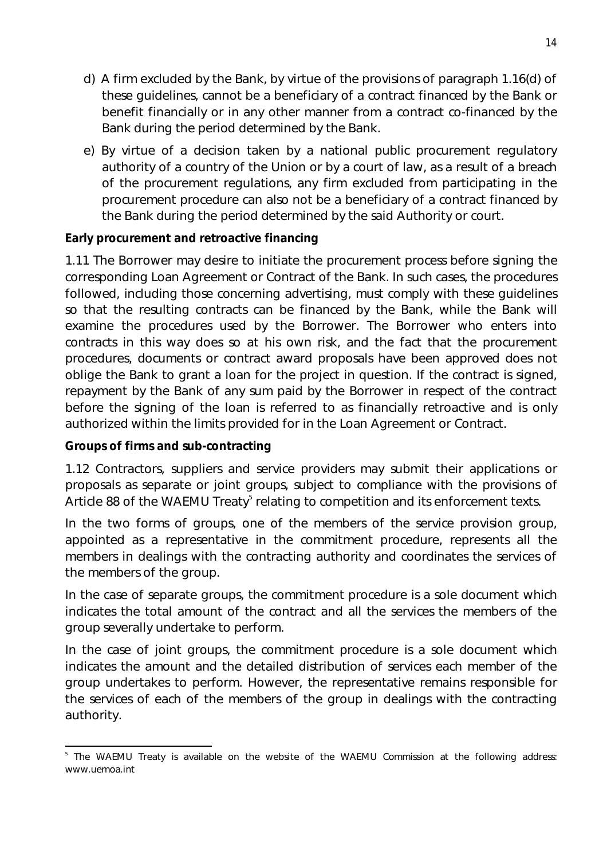- d) A firm excluded by the Bank, by virtue of the provisions of paragraph 1.16(d) of these guidelines, cannot be a beneficiary of a contract financed by the Bank or benefit financially or in any other manner from a contract co-financed by the Bank during the period determined by the Bank.
- e) By virtue of a decision taken by a national public procurement regulatory authority of a country of the Union or by a court of law, as a result of a breach of the procurement regulations, any firm excluded from participating in the procurement procedure can also not be a beneficiary of a contract financed by the Bank during the period determined by the said Authority or court.

### **Early procurement and retroactive financing**

1.11 The Borrower may desire to initiate the procurement process before signing the corresponding Loan Agreement or Contract of the Bank. In such cases, the procedures followed, including those concerning advertising, must comply with these guidelines so that the resulting contracts can be financed by the Bank, while the Bank will examine the procedures used by the Borrower. The Borrower who enters into contracts in this way does so at his own risk, and the fact that the procurement procedures, documents or contract award proposals have been approved does not oblige the Bank to grant a loan for the project in question. If the contract is signed, repayment by the Bank of any sum paid by the Borrower in respect of the contract before the signing of the loan is referred to as financially retroactive and is only authorized within the limits provided for in the Loan Agreement or Contract.

#### **Groups of firms and sub-contracting**

1.12 Contractors, suppliers and service providers may submit their applications or proposals as separate or joint groups, subject to compliance with the provisions of Article 88 of the WAEMU Treaty $^5$  relating to competition and its enforcement texts.

In the two forms of groups, one of the members of the service provision group, appointed as a representative in the commitment procedure, represents all the members in dealings with the contracting authority and coordinates the services of the members of the group.

In the case of separate groups, the commitment procedure is a sole document which indicates the total amount of the contract and all the services the members of the group severally undertake to perform.

In the case of joint groups, the commitment procedure is a sole document which indicates the amount and the detailed distribution of services each member of the group undertakes to perform. However, the representative remains responsible for the services of each of the members of the group in dealings with the contracting authority.

 $\overline{a}$ 5 The WAEMU Treaty is available on the website of the WAEMU Commission at the following address: www.uemoa.int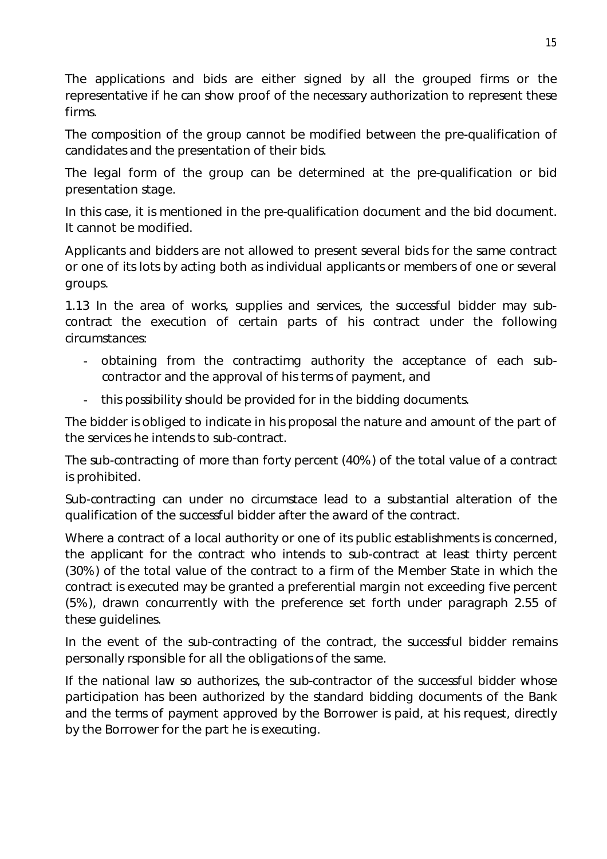The applications and bids are either signed by all the grouped firms or the representative if he can show proof of the necessary authorization to represent these firms.

The composition of the group cannot be modified between the pre-qualification of candidates and the presentation of their bids.

The legal form of the group can be determined at the pre-qualification or bid presentation stage.

In this case, it is mentioned in the pre-qualification document and the bid document. It cannot be modified.

Applicants and bidders are not allowed to present several bids for the same contract or one of its lots by acting both as individual applicants or members of one or several groups.

1.13 In the area of works, supplies and services, the successful bidder may subcontract the execution of certain parts of his contract under the following circumstances:

- obtaining from the contractimg authority the acceptance of each subcontractor and the approval of his terms of payment, and
- this possibility should be provided for in the bidding documents.

The bidder is obliged to indicate in his proposal the nature and amount of the part of the services he intends to sub-contract.

The sub-contracting of more than forty percent (40%) of the total value of a contract is prohibited.

Sub-contracting can under no circumstace lead to a substantial alteration of the qualification of the successful bidder after the award of the contract.

Where a contract of a local authority or one of its public establishments is concerned, the applicant for the contract who intends to sub-contract at least thirty percent (30%) of the total value of the contract to a firm of the Member State in which the contract is executed may be granted a preferential margin not exceeding five percent (5%), drawn concurrently with the preference set forth under paragraph 2.55 of these guidelines.

In the event of the sub-contracting of the contract, the successful bidder remains personally rsponsible for all the obligations of the same.

If the national law so authorizes, the sub-contractor of the successful bidder whose participation has been authorized by the standard bidding documents of the Bank and the terms of payment approved by the Borrower is paid, at his request, directly by the Borrower for the part he is executing.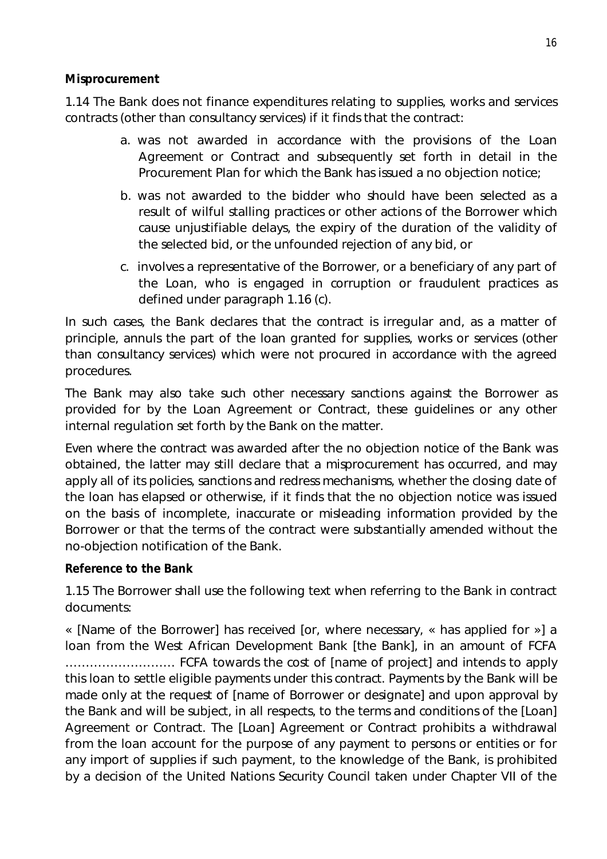### **Misprocurement**

1.14 The Bank does not finance expenditures relating to supplies, works and services contracts (other than consultancy services) if it finds that the contract:

- a. was not awarded in accordance with the provisions of the Loan Agreement or Contract and subsequently set forth in detail in the Procurement Plan for which the Bank has issued a no objection notice;
- b. was not awarded to the bidder who should have been selected as a result of wilful stalling practices or other actions of the Borrower which cause unjustifiable delays, the expiry of the duration of the validity of the selected bid, or the unfounded rejection of any bid, or
- c. involves a representative of the Borrower, or a beneficiary of any part of the Loan, who is engaged in corruption or fraudulent practices as defined under paragraph 1.16 (c).

In such cases, the Bank declares that the contract is irregular and, as a matter of principle, annuls the part of the loan granted for supplies, works or services (other than consultancy services) which were not procured in accordance with the agreed procedures.

The Bank may also take such other necessary sanctions against the Borrower as provided for by the Loan Agreement or Contract, these guidelines or any other internal regulation set forth by the Bank on the matter.

Even where the contract was awarded after the no objection notice of the Bank was obtained, the latter may still declare that a misprocurement has occurred, and may apply all of its policies, sanctions and redress mechanisms, whether the closing date of the loan has elapsed or otherwise, if it finds that the no objection notice was issued on the basis of incomplete, inaccurate or misleading information provided by the Borrower or that the terms of the contract were substantially amended without the no-objection notification of the Bank.

# **Reference to the Bank**

1.15 The Borrower shall use the following text when referring to the Bank in contract documents:

*« [Name of the Borrower] has received [or, where necessary, « has applied for »] a loan from the West African Development Bank [the Bank], in an amount of FCFA ……………………… FCFA towards the cost of [name of project] and intends to apply this loan to settle eligible payments under this contract. Payments by the Bank will be made only at the request of [name of Borrower or designate] and upon approval by the Bank and will be subject, in all respects, to the terms and conditions of the [Loan] Agreement or Contract. The [Loan] Agreement or Contract prohibits a withdrawal from the loan account for the purpose of any payment to persons or entities or for any import of supplies if such payment, to the knowledge of the Bank, is prohibited by a decision of the United Nations Security Council taken under Chapter VII of the*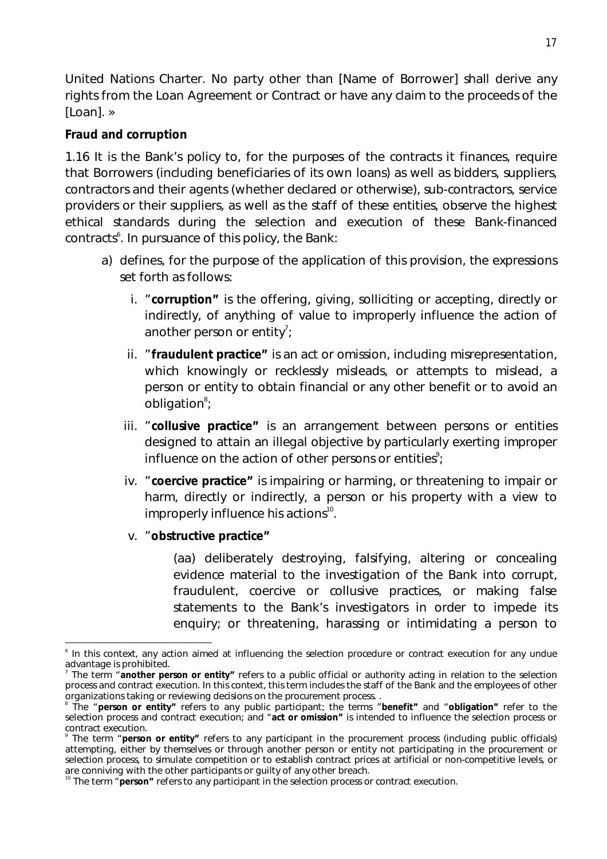*United Nations Charter. No party other than [Name of Borrower] shall derive any rights from the Loan Agreement or Contract or have any claim to the proceeds of the [Loan]. »*

### **Fraud and corruption**

1.16 It is the Bank's policy to, for the purposes of the contracts it finances, require that Borrowers (including beneficiaries of its own loans) as well as bidders, suppliers, contractors and their agents (whether declared or otherwise), sub-contractors, service providers or their suppliers, as well as the staff of these entities, observe the highest ethical standards during the selection and execution of these Bank-financed  $contrast<sup>6</sup>$ . In pursuance of this policy, the Bank:

- a) defines, for the purpose of the application of this provision, the expressions set forth as follows:
	- i. "**corruption"** is the offering, giving, solliciting or accepting, directly or indirectly, of anything of value to improperly influence the action of another person or entity<sup>7</sup>;
	- ii. "**fraudulent practice"** is an act or omission, including misrepresentation, which knowingly or recklessly misleads, or attempts to mislead, a person or entity to obtain financial or any other benefit or to avoid an obligation<sup>8</sup>;
	- iii. "**collusive practice"** is an arrangement between persons or entities designed to attain an illegal objective by particularly exerting improper influence on the action of other persons or entities $\degree$ ;
	- iv. "**coercive practice"** is impairing or harming, or threatening to impair or harm, directly or indirectly, a person or his property with a view to improperly influence his actions<sup>10</sup>.

#### v. "**obstructive practice"**

(aa) deliberately destroying, falsifying, altering or concealing evidence material to the investigation of the Bank into corrupt, fraudulent, coercive or collusive practices, or making false statements to the Bank's investigators in order to impede its enquiry; or threatening, harassing or intimidating a person to

 $\overline{a}$ 6 In this context, any action aimed at influencing the selection procedure or contract execution for any undue advantage is prohibited.

<sup>7</sup> The term "**another person or entity"** refers to a public official or authority acting in relation to the selection process and contract execution. In this context, this term includes the staff of the Bank and the employees of other

organizations taking or reviewing decisions on the procurement process. . 8 The "**person or entity"** refers to any public participant; the terms "**benefit"** and "**obligation"** refer to the selection process and contract execution; and "**act or omission"** is intended to influence the selection process or contract execution.

<sup>9</sup> The term "**person or entity"** refers to any participant in the procurement process (including public officials) attempting, either by themselves or through another person or entity not participating in the procurement or selection process, to simulate competition or to establish contract prices at artificial or non-competitive levels, or are conniving with the other participants or guilty of any other breach.

<sup>&</sup>lt;sup>10</sup> The term "**person"** refers to any participant in the selection process or contract execution.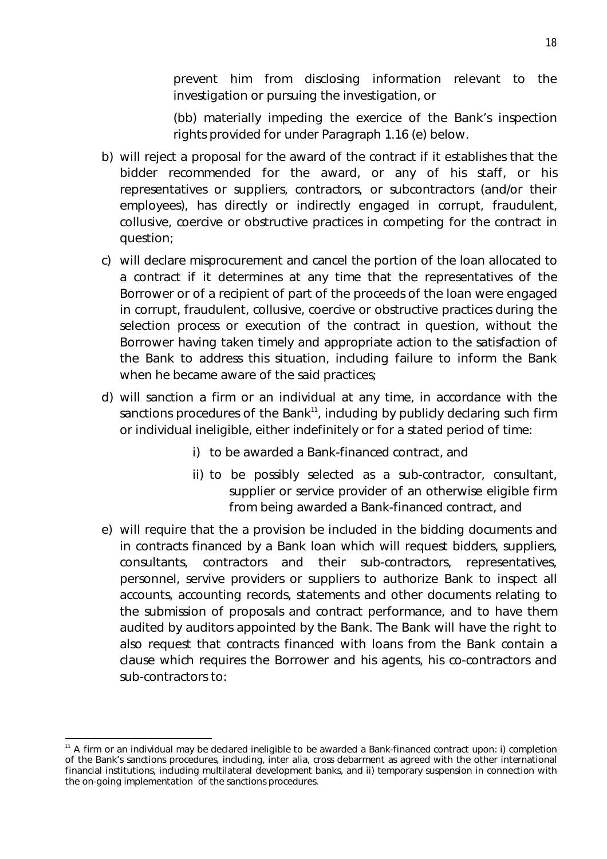prevent him from disclosing information relevant to the investigation or pursuing the investigation, or

(bb) materially impeding the exercice of the Bank's inspection rights provided for under Paragraph 1.16 (e) below.

- b) will reject a proposal for the award of the contract if it establishes that the bidder recommended for the award, or any of his staff, or his representatives or suppliers, contractors, or subcontractors (and/or their employees), has directly or indirectly engaged in corrupt, fraudulent, collusive, coercive or obstructive practices in competing for the contract in question;
- c) will declare misprocurement and cancel the portion of the loan allocated to a contract if it determines at any time that the representatives of the Borrower or of a recipient of part of the proceeds of the loan were engaged in corrupt, fraudulent, collusive, coercive or obstructive practices during the selection process or execution of the contract in question, without the Borrower having taken timely and appropriate action to the satisfaction of the Bank to address this situation, including failure to inform the Bank when he became aware of the said practices;
- d) will sanction a firm or an individual at any time, in accordance with the sanctions procedures of the Bank $^{11}$ , including by publicly declaring such firm or individual ineligible, either indefinitely or for a stated period of time:
	- i) to be awarded a Bank-financed contract, and
	- ii) to be possibly selected as a sub-contractor, consultant, supplier or service provider of an otherwise eligible firm from being awarded a Bank-financed contract, and
- e) will require that the a provision be included in the bidding documents and in contracts financed by a Bank loan which will request bidders, suppliers, consultants, contractors and their sub-contractors, representatives, personnel, servive providers or suppliers to authorize Bank to inspect all accounts, accounting records, statements and other documents relating to the submission of proposals and contract performance, and to have them audited by auditors appointed by the Bank. The Bank will have the right to also request that contracts financed with loans from the Bank contain a clause which requires the Borrower and his agents, his co-contractors and sub-contractors to:

 $\overline{\phantom{a}}$ 

<sup>11</sup> A firm or an individual may be declared ineligible to be awarded a Bank-financed contract upon: i) completion of the Bank's sanctions procedures, including, inter alia, cross debarment as agreed with the other international financial institutions, including multilateral development banks, and ii) temporary suspension in connection with the on-going implementation of the sanctions procedures.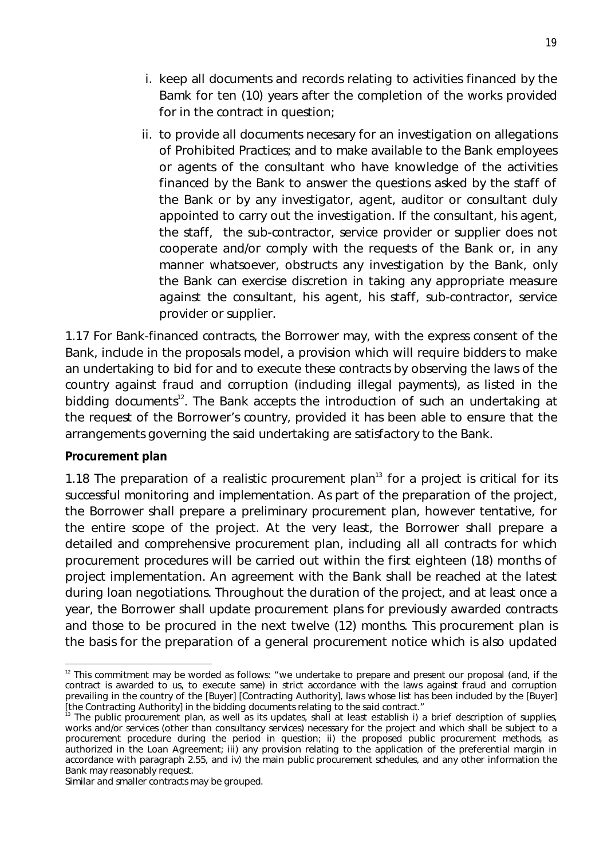- i. keep all documents and records relating to activities financed by the Bamk for ten (10) years after the completion of the works provided for in the contract in question;
- ii. to provide all documents necesary for an investigation on allegations of Prohibited Practices; and to make available to the Bank employees or agents of the consultant who have knowledge of the activities financed by the Bank to answer the questions asked by the staff of the Bank or by any investigator, agent, auditor or consultant duly appointed to carry out the investigation. If the consultant, his agent, the staff, the sub-contractor, service provider or supplier does not cooperate and/or comply with the requests of the Bank or, in any manner whatsoever, obstructs any investigation by the Bank, only the Bank can exercise discretion in taking any appropriate measure against the consultant, his agent, his staff, sub-contractor, service provider or supplier.

1.17 For Bank-financed contracts, the Borrower may, with the express consent of the Bank, include in the proposals model, a provision which will require bidders to make an undertaking to bid for and to execute these contracts by observing the laws of the country against fraud and corruption (including illegal payments), as listed in the bidding documents<sup>12</sup>. The Bank accepts the introduction of such an undertaking at the request of the Borrower's country, provided it has been able to ensure that the arrangements governing the said undertaking are satisfactory to the Bank.

#### **Procurement plan**

 $\overline{a}$ 

1.18 The preparation of a realistic procurement plan $13$  for a project is critical for its successful monitoring and implementation. As part of the preparation of the project, the Borrower shall prepare a preliminary procurement plan, however tentative, for the entire scope of the project. At the very least, the Borrower shall prepare a detailed and comprehensive procurement plan, including all all contracts for which procurement procedures will be carried out within the first eighteen (18) months of project implementation. An agreement with the Bank shall be reached at the latest during loan negotiations. Throughout the duration of the project, and at least once a year, the Borrower shall update procurement plans for previously awarded contracts and those to be procured in the next twelve (12) months. This procurement plan is the basis for the preparation of a general procurement notice which is also updated

 $12$  This commitment may be worded as follows: "we undertake to prepare and present our proposal (and, if the contract is awarded to us, to execute same) in strict accordance with the laws against fraud and corruption prevailing in the country of the [Buyer] [Contracting Authority], laws whose list has been included by the [Buyer] [the Contracting Authority] in the bidding documents relating to the said contract."

<sup>&</sup>lt;sup>3</sup> The public procurement plan, as well as its updates, shall at least establish i) a brief description of supplies, works and/or services (other than consultancy services) necessary for the project and which shall be subject to a procurement procedure during the period in question; ii) the proposed public procurement methods, as authorized in the Loan Agreement; iii) any provision relating to the application of the preferential margin in accordance with paragraph 2.55, and iv) the main public procurement schedules, and any other information the Bank may reasonably request.

Similar and smaller contracts may be grouped.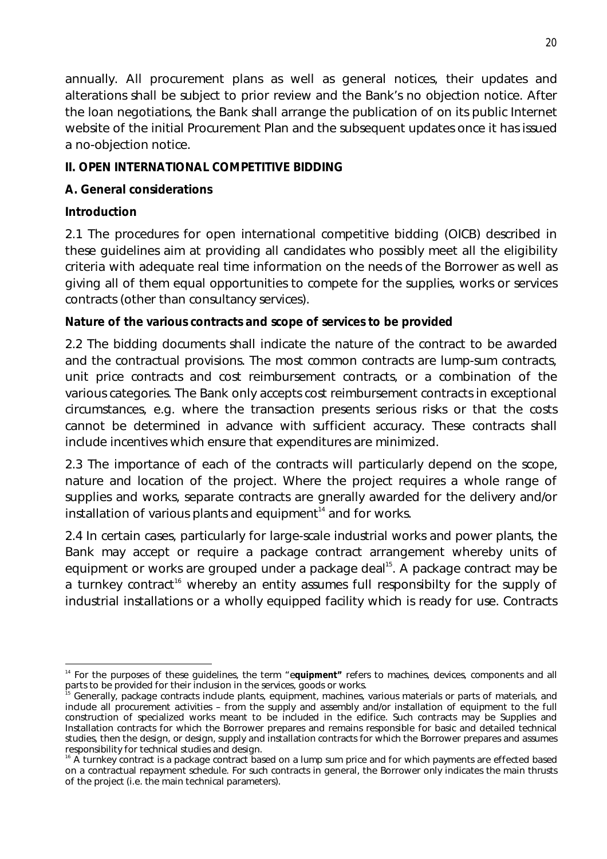annually. All procurement plans as well as general notices, their updates and alterations shall be subject to prior review and the Bank's no objection notice. After the loan negotiations, the Bank shall arrange the publication of on its public Internet website of the initial Procurement Plan and the subsequent updates once it has issued a no-objection notice.

# **II. OPEN INTERNATIONAL COMPETITIVE BIDDING**

# **A. General considerations**

# **Introduction**

2.1 The procedures for open international competitive bidding (OICB) described in these guidelines aim at providing all candidates who possibly meet all the eligibility criteria with adequate real time information on the needs of the Borrower as well as giving all of them equal opportunities to compete for the supplies, works or services contracts (other than consultancy services).

# **Nature of the various contracts and scope of services to be provided**

2.2 The bidding documents shall indicate the nature of the contract to be awarded and the contractual provisions. The most common contracts are lump-sum contracts, unit price contracts and cost reimbursement contracts, or a combination of the various categories. The Bank only accepts cost reimbursement contracts in exceptional circumstances, e.g. where the transaction presents serious risks or that the costs cannot be determined in advance with sufficient accuracy. These contracts shall include incentives which ensure that expenditures are minimized.

2.3 The importance of each of the contracts will particularly depend on the scope, nature and location of the project. Where the project requires a whole range of supplies and works, separate contracts are gnerally awarded for the delivery and/or  $in$ stallation of various plants and equipment $14$  and for works.

2.4 In certain cases, particularly for large-scale industrial works and power plants, the Bank may accept or require a package contract arrangement whereby units of equipment or works are grouped under a package deal<sup>15</sup>. A package contract may be a turnkey contract<sup>16</sup> whereby an entity assumes full responsibilty for the supply of industrial installations or a wholly equipped facility which is ready for use. Contracts

 $\overline{a}$ <sup>14</sup> For the purposes of these guidelines, the term "equipment" refers to machines, devices, components and all parts to be provided for their inclusion in the services, goods or works.

Generally, package contracts include plants, equipment, machines, various materials or parts of materials, and include all procurement activities – from the supply and assembly and/or installation of equipment to the full construction of specialized works meant to be included in the edifice. Such contracts may be Supplies and Installation contracts for which the Borrower prepares and remains responsible for basic and detailed technical studies, then the design, or design, supply and installation contracts for which the Borrower prepares and assumes responsibility for technical studies and design.

 $16$  A turnkey contract is a package contract based on a lump sum price and for which payments are effected based on a contractual repayment schedule. For such contracts in general, the Borrower only indicates the main thrusts of the project (i.e. the main technical parameters).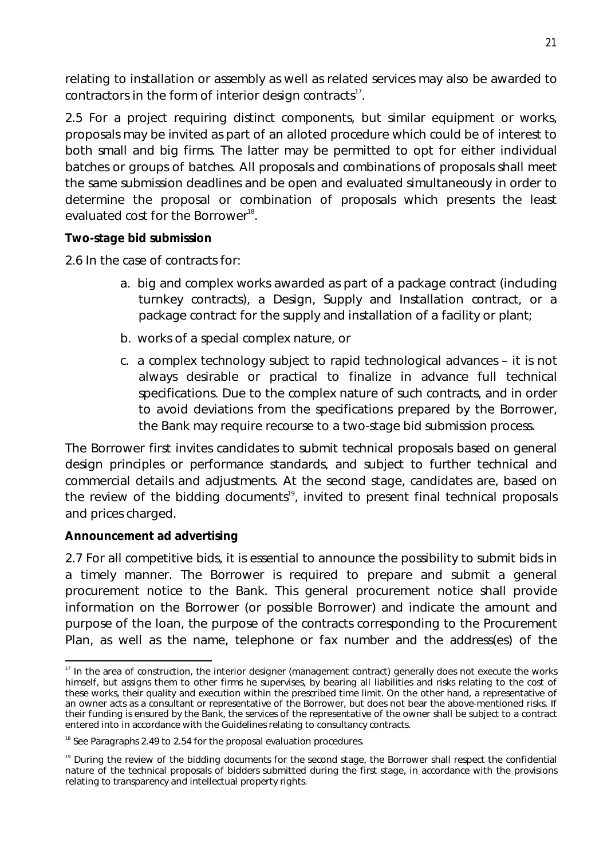relating to installation or assembly as well as related services may also be awarded to contractors in the form of interior design contracts $^{\scriptscriptstyle 17}.$ 

2.5 For a project requiring distinct components, but similar equipment or works, proposals may be invited as part of an alloted procedure which could be of interest to both small and big firms. The latter may be permitted to opt for either individual batches or groups of batches. All proposals and combinations of proposals shall meet the same submission deadlines and be open and evaluated simultaneously in order to determine the proposal or combination of proposals which presents the least evaluated cost for the Borrower<sup>18</sup>.

#### **Two-stage bid submission**

2.6 In the case of contracts for:

- a. big and complex works awarded as part of a package contract (including turnkey contracts), a Design, Supply and Installation contract, or a package contract for the supply and installation of a facility or plant;
- b. works of a special complex nature, or
- c. a complex technology subject to rapid technological advances it is not always desirable or practical to finalize in advance full technical specifications. Due to the complex nature of such contracts, and in order to avoid deviations from the specifications prepared by the Borrower, the Bank may require recourse to a two-stage bid submission process.

The Borrower first invites candidates to submit technical proposals based on general design principles or performance standards, and subject to further technical and commercial details and adjustments. At the second stage, candidates are, based on the review of the bidding documents<sup>19</sup>, invited to present final technical proposals and prices charged.

#### **Announcement ad advertising**

2.7 For all competitive bids, it is essential to announce the possibility to submit bids in a timely manner. The Borrower is required to prepare and submit a general procurement notice to the Bank. This general procurement notice shall provide information on the Borrower (or possible Borrower) and indicate the amount and purpose of the loan, the purpose of the contracts corresponding to the Procurement Plan, as well as the name, telephone or fax number and the address(es) of the

 $\overline{\phantom{a}}$ <sup>17</sup> In the area of construction, the interior designer (management contract) generally does not execute the works himself, but assigns them to other firms he supervises, by bearing all liabilities and risks relating to the cost of these works, their quality and execution within the prescribed time limit. On the other hand, a representative of an owner acts as a consultant or representative of the Borrower, but does not bear the above-mentioned risks. If their funding is ensured by the Bank, the services of the representative of the owner shall be subject to a contract entered into in accordance with the Guidelines relating to consultancy contracts.

<sup>&</sup>lt;sup>18</sup> See Paragraphs 2.49 to 2.54 for the proposal evaluation procedures.

<sup>&</sup>lt;sup>19</sup> During the review of the bidding documents for the second stage, the Borrower shall respect the confidential nature of the technical proposals of bidders submitted during the first stage, in accordance with the provisions relating to transparency and intellectual property rights.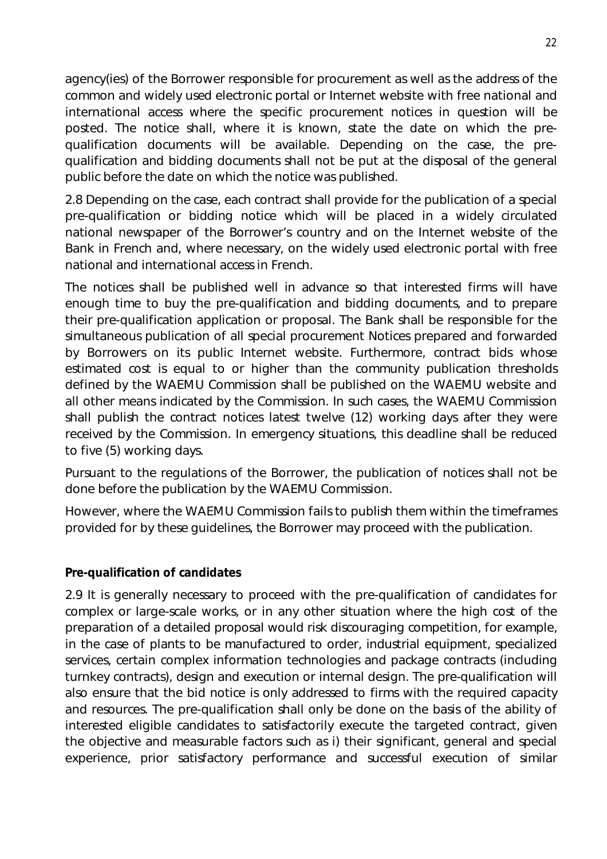agency(ies) of the Borrower responsible for procurement as well as the address of the common and widely used electronic portal or Internet website with free national and international access where the specific procurement notices in question will be posted. The notice shall, where it is known, state the date on which the prequalification documents will be available. Depending on the case, the prequalification and bidding documents shall not be put at the disposal of the general public before the date on which the notice was published.

2.8 Depending on the case, each contract shall provide for the publication of a special pre-qualification or bidding notice which will be placed in a widely circulated national newspaper of the Borrower's country and on the Internet website of the Bank in French and, where necessary, on the widely used electronic portal with free national and international access in French.

The notices shall be published well in advance so that interested firms will have enough time to buy the pre-qualification and bidding documents, and to prepare their pre-qualification application or proposal. The Bank shall be responsible for the simultaneous publication of all special procurement Notices prepared and forwarded by Borrowers on its public Internet website. Furthermore, contract bids whose estimated cost is equal to or higher than the community publication thresholds defined by the WAEMU Commission shall be published on the WAEMU website and all other means indicated by the Commission. In such cases, the WAEMU Commission shall publish the contract notices latest twelve (12) working days after they were received by the Commission. In emergency situations, this deadline shall be reduced to five (5) working days.

Pursuant to the regulations of the Borrower, the publication of notices shall not be done before the publication by the WAEMU Commission.

However, where the WAEMU Commission fails to publish them within the timeframes provided for by these guidelines, the Borrower may proceed with the publication.

#### **Pre-qualification of candidates**

2.9 It is generally necessary to proceed with the pre-qualification of candidates for complex or large-scale works, or in any other situation where the high cost of the preparation of a detailed proposal would risk discouraging competition, for example, in the case of plants to be manufactured to order, industrial equipment, specialized services, certain complex information technologies and package contracts (including turnkey contracts), design and execution or internal design. The pre-qualification will also ensure that the bid notice is only addressed to firms with the required capacity and resources. The pre-qualification shall only be done on the basis of the ability of interested eligible candidates to satisfactorily execute the targeted contract, given the objective and measurable factors such as i) their significant, general and special experience, prior satisfactory performance and successful execution of similar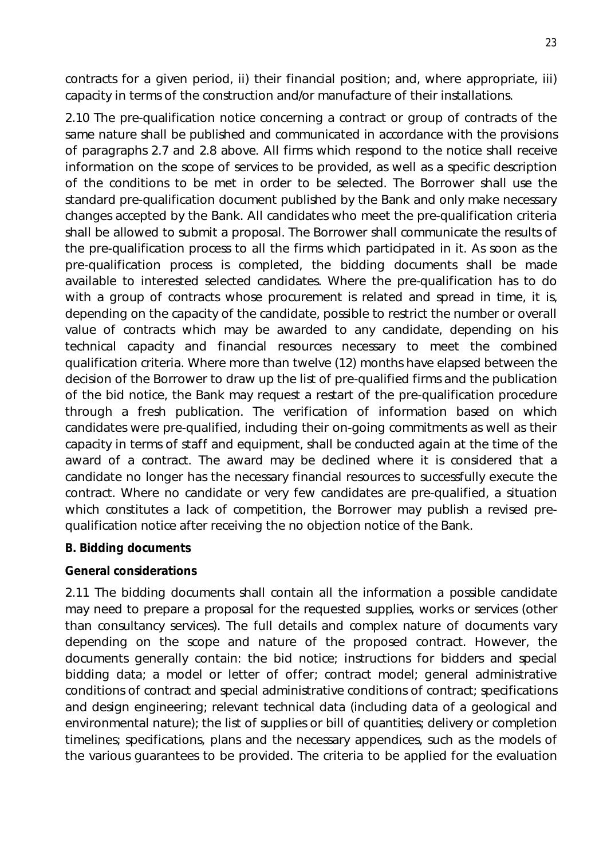contracts for a given period, ii) their financial position; and, where appropriate, iii) capacity in terms of the construction and/or manufacture of their installations.

2.10 The pre-qualification notice concerning a contract or group of contracts of the same nature shall be published and communicated in accordance with the provisions of paragraphs 2.7 and 2.8 above. All firms which respond to the notice shall receive information on the scope of services to be provided, as well as a specific description of the conditions to be met in order to be selected. The Borrower shall use the standard pre-qualification document published by the Bank and only make necessary changes accepted by the Bank. All candidates who meet the pre-qualification criteria shall be allowed to submit a proposal. The Borrower shall communicate the results of the pre-qualification process to all the firms which participated in it. As soon as the pre-qualification process is completed, the bidding documents shall be made available to interested selected candidates. Where the pre-qualification has to do with a group of contracts whose procurement is related and spread in time, it is, depending on the capacity of the candidate, possible to restrict the number or overall value of contracts which may be awarded to any candidate, depending on his technical capacity and financial resources necessary to meet the combined qualification criteria. Where more than twelve (12) months have elapsed between the decision of the Borrower to draw up the list of pre-qualified firms and the publication of the bid notice, the Bank may request a restart of the pre-qualification procedure through a fresh publication. The verification of information based on which candidates were pre-qualified, including their on-going commitments as well as their capacity in terms of staff and equipment, shall be conducted again at the time of the award of a contract. The award may be declined where it is considered that a candidate no longer has the necessary financial resources to successfully execute the contract. Where no candidate or very few candidates are pre-qualified, a situation which constitutes a lack of competition, the Borrower may publish a revised prequalification notice after receiving the no objection notice of the Bank.

#### **B. Bidding documents**

#### **General considerations**

2.11 The bidding documents shall contain all the information a possible candidate may need to prepare a proposal for the requested supplies, works or services (other than consultancy services). The full details and complex nature of documents vary depending on the scope and nature of the proposed contract. However, the documents generally contain: the bid notice; instructions for bidders and special bidding data; a model or letter of offer; contract model; general administrative conditions of contract and special administrative conditions of contract; specifications and design engineering; relevant technical data (including data of a geological and environmental nature); the list of supplies or bill of quantities; delivery or completion timelines; specifications, plans and the necessary appendices, such as the models of the various guarantees to be provided. The criteria to be applied for the evaluation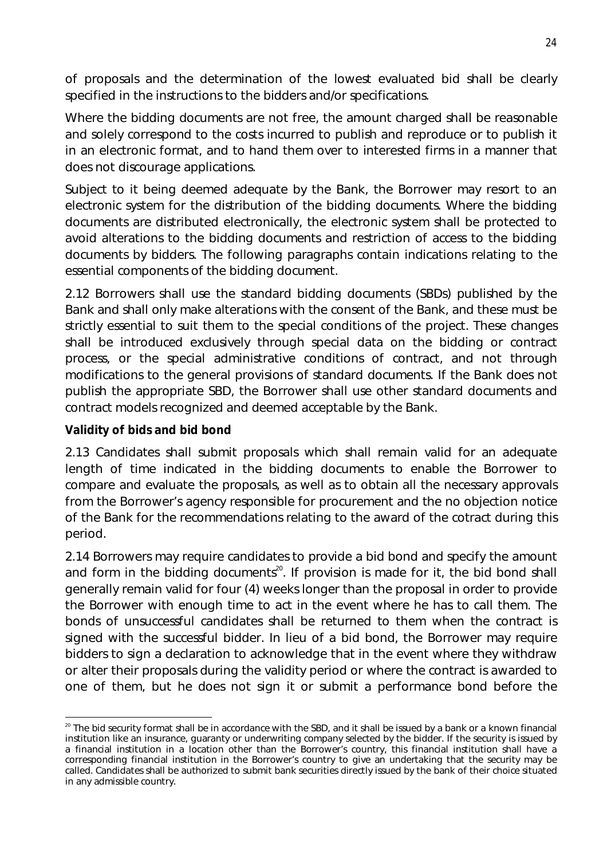of proposals and the determination of the lowest evaluated bid shall be clearly specified in the instructions to the bidders and/or specifications.

Where the bidding documents are not free, the amount charged shall be reasonable and solely correspond to the costs incurred to publish and reproduce or to publish it in an electronic format, and to hand them over to interested firms in a manner that does not discourage applications.

Subject to it being deemed adequate by the Bank, the Borrower may resort to an electronic system for the distribution of the bidding documents. Where the bidding documents are distributed electronically, the electronic system shall be protected to avoid alterations to the bidding documents and restriction of access to the bidding documents by bidders. The following paragraphs contain indications relating to the essential components of the bidding document.

2.12 Borrowers shall use the standard bidding documents (SBDs) published by the Bank and shall only make alterations with the consent of the Bank, and these must be strictly essential to suit them to the special conditions of the project. These changes shall be introduced exclusively through special data on the bidding or contract process, or the special administrative conditions of contract, and not through modifications to the general provisions of standard documents. If the Bank does not publish the appropriate SBD, the Borrower shall use other standard documents and contract models recognized and deemed acceptable by the Bank.

### **Validity of bids and bid bond**

2.13 Candidates shall submit proposals which shall remain valid for an adequate length of time indicated in the bidding documents to enable the Borrower to compare and evaluate the proposals, as well as to obtain all the necessary approvals from the Borrower's agency responsible for procurement and the no objection notice of the Bank for the recommendations relating to the award of the cotract during this period.

2.14 Borrowers may require candidates to provide a bid bond and specify the amount and form in the bidding documents<sup>20</sup>. If provision is made for it, the bid bond shall generally remain valid for four (4) weeks longer than the proposal in order to provide the Borrower with enough time to act in the event where he has to call them. The bonds of unsuccessful candidates shall be returned to them when the contract is signed with the successful bidder. In lieu of a bid bond, the Borrower may require bidders to sign a declaration to acknowledge that in the event where they withdraw or alter their proposals during the validity period or where the contract is awarded to one of them, but he does not sign it or submit a performance bond before the

 $\overline{a}$  $^{20}$  The bid security format shall be in accordance with the SBD, and it shall be issued by a bank or a known financial institution like an insurance, guaranty or underwriting company selected by the bidder. If the security is issued by a financial institution in a location other than the Borrower's country, this financial institution shall have a corresponding financial institution in the Borrower's country to give an undertaking that the security may be called. Candidates shall be authorized to submit bank securities directly issued by the bank of their choice situated in any admissible country.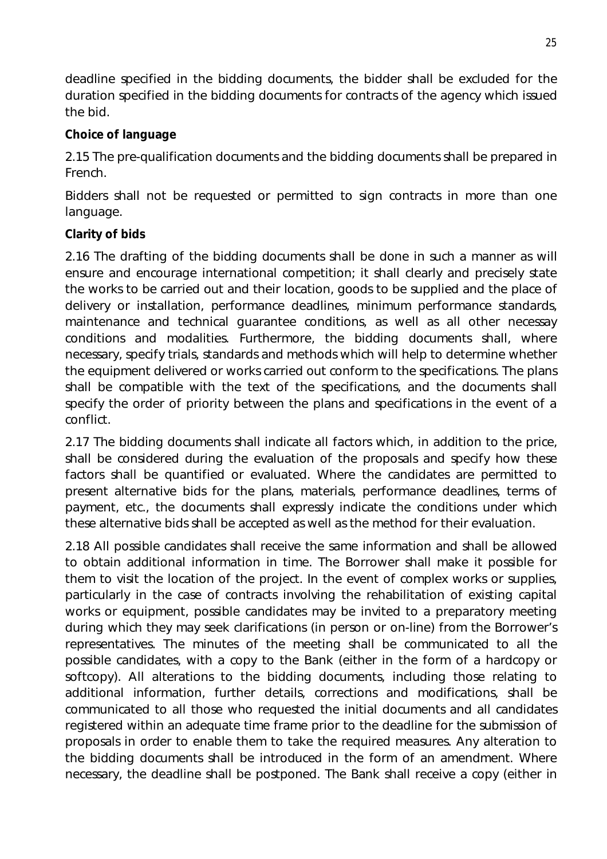deadline specified in the bidding documents, the bidder shall be excluded for the duration specified in the bidding documents for contracts of the agency which issued the bid.

### **Choice of language**

2.15 The pre-qualification documents and the bidding documents shall be prepared in French.

Bidders shall not be requested or permitted to sign contracts in more than one language.

### **Clarity of bids**

2.16 The drafting of the bidding documents shall be done in such a manner as will ensure and encourage international competition; it shall clearly and precisely state the works to be carried out and their location, goods to be supplied and the place of delivery or installation, performance deadlines, minimum performance standards, maintenance and technical guarantee conditions, as well as all other necessay conditions and modalities. Furthermore, the bidding documents shall, where necessary, specify trials, standards and methods which will help to determine whether the equipment delivered or works carried out conform to the specifications. The plans shall be compatible with the text of the specifications, and the documents shall specify the order of priority between the plans and specifications in the event of a conflict.

2.17 The bidding documents shall indicate all factors which, in addition to the price, shall be considered during the evaluation of the proposals and specify how these factors shall be quantified or evaluated. Where the candidates are permitted to present alternative bids for the plans, materials, performance deadlines, terms of payment, etc., the documents shall expressly indicate the conditions under which these alternative bids shall be accepted as well as the method for their evaluation.

2.18 All possible candidates shall receive the same information and shall be allowed to obtain additional information in time. The Borrower shall make it possible for them to visit the location of the project. In the event of complex works or supplies, particularly in the case of contracts involving the rehabilitation of existing capital works or equipment, possible candidates may be invited to a preparatory meeting during which they may seek clarifications (in person or on-line) from the Borrower's representatives. The minutes of the meeting shall be communicated to all the possible candidates, with a copy to the Bank (either in the form of a hardcopy or softcopy). All alterations to the bidding documents, including those relating to additional information, further details, corrections and modifications, shall be communicated to all those who requested the initial documents and all candidates registered within an adequate time frame prior to the deadline for the submission of proposals in order to enable them to take the required measures. Any alteration to the bidding documents shall be introduced in the form of an amendment. Where necessary, the deadline shall be postponed. The Bank shall receive a copy (either in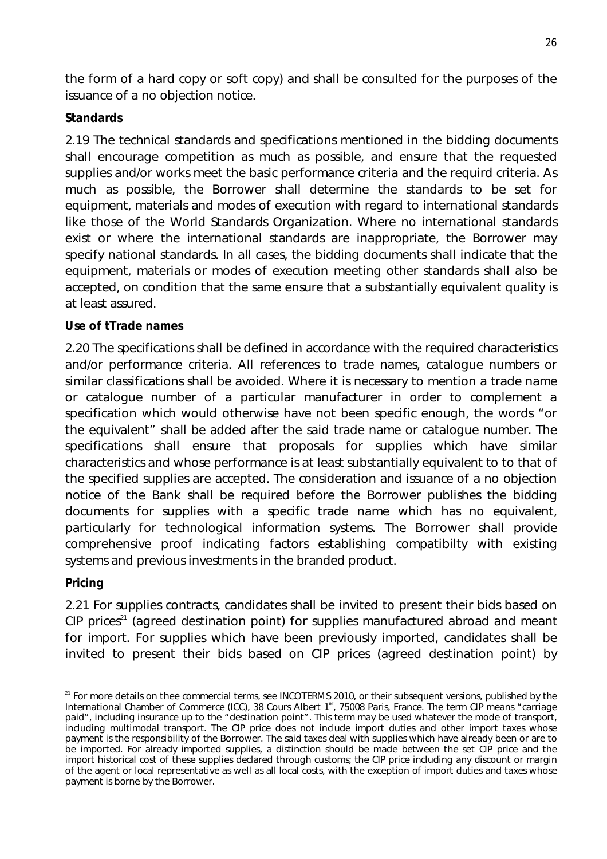the form of a hard copy or soft copy) and shall be consulted for the purposes of the issuance of a no objection notice.

# **Standards**

2.19 The technical standards and specifications mentioned in the bidding documents shall encourage competition as much as possible, and ensure that the requested supplies and/or works meet the basic performance criteria and the requird criteria. As much as possible, the Borrower shall determine the standards to be set for equipment, materials and modes of execution with regard to international standards like those of the World Standards Organization. Where no international standards exist or where the international standards are inappropriate, the Borrower may specify national standards. In all cases, the bidding documents shall indicate that the equipment, materials or modes of execution meeting other standards shall also be accepted, on condition that the same ensure that a substantially equivalent quality is at least assured.

### **Use of tTrade names**

2.20 The specifications shall be defined in accordance with the required characteristics and/or performance criteria. All references to trade names, catalogue numbers or similar classifications shall be avoided. Where it is necessary to mention a trade name or catalogue number of a particular manufacturer in order to complement a specification which would otherwise have not been specific enough, the words "or the equivalent" shall be added after the said trade name or catalogue number. The specifications shall ensure that proposals for supplies which have similar characteristics and whose performance is at least substantially equivalent to to that of the specified supplies are accepted. The consideration and issuance of a no objection notice of the Bank shall be required before the Borrower publishes the bidding documents for supplies with a specific trade name which has no equivalent, particularly for technological information systems. The Borrower shall provide comprehensive proof indicating factors establishing compatibilty with existing systems and previous investments in the branded product.

#### **Pricing**

2.21 For supplies contracts, candidates shall be invited to present their bids based on  $CP$  prices<sup>21</sup> (agreed destination point) for supplies manufactured abroad and meant for import. For supplies which have been previously imported, candidates shall be invited to present their bids based on CIP prices (agreed destination point) by

 $\overline{\phantom{a}}$  $21$  For more details on thee commercial terms, see INCOTERMS 2010, or their subsequent versions, published by the International Chamber of Commerce (ICC), 38 Cours Albert 1<sup>er</sup>, 75008 Paris, France. The term CIP means "carriage paid", including insurance up to the "destination point". This term may be used whatever the mode of transport, including multimodal transport. The CIP price does not include import duties and other import taxes whose payment is the responsibility of the Borrower. The said taxes deal with supplies which have already been or are to be imported. For already imported supplies, a distinction should be made between the set CIP price and the import historical cost of these supplies declared through customs; the CIP price including any discount or margin of the agent or local representative as well as all local costs, with the exception of import duties and taxes whose payment is borne by the Borrower.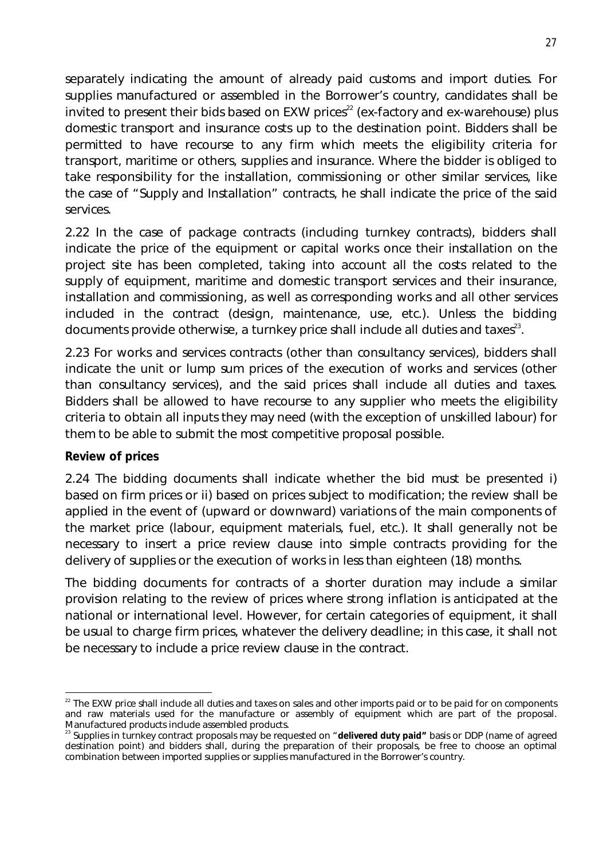separately indicating the amount of already paid customs and import duties. For supplies manufactured or assembled in the Borrower's country, candidates shall be invited to present their bids based on  $EXW$  prices<sup>22</sup> (ex-factory and ex-warehouse) plus domestic transport and insurance costs up to the destination point. Bidders shall be permitted to have recourse to any firm which meets the eligibility criteria for transport, maritime or others, supplies and insurance. Where the bidder is obliged to take responsibility for the installation, commissioning or other similar services, like the case of "Supply and Installation" contracts, he shall indicate the price of the said services.

2.22 In the case of package contracts (including turnkey contracts), bidders shall indicate the price of the equipment or capital works once their installation on the project site has been completed, taking into account all the costs related to the supply of equipment, maritime and domestic transport services and their insurance, installation and commissioning, as well as corresponding works and all other services included in the contract (design, maintenance, use, etc.). Unless the bidding documents provide otherwise, a turnkey price shall include all duties and taxes $^{23}$ .

2.23 For works and services contracts (other than consultancy services), bidders shall indicate the unit or lump sum prices of the execution of works and services (other than consultancy services), and the said prices shall include all duties and taxes. Bidders shall be allowed to have recourse to any supplier who meets the eligibility criteria to obtain all inputs they may need (with the exception of unskilled labour) for them to be able to submit the most competitive proposal possible.

#### **Review of prices**

2.24 The bidding documents shall indicate whether the bid must be presented i) based on firm prices or ii) based on prices subject to modification; the review shall be applied in the event of (upward or downward) variations of the main components of the market price (labour, equipment materials, fuel, etc.). It shall generally not be necessary to insert a price review clause into simple contracts providing for the delivery of supplies or the execution of works in less than eighteen (18) months.

The bidding documents for contracts of a shorter duration may include a similar provision relating to the review of prices where strong inflation is anticipated at the national or international level. However, for certain categories of equipment, it shall be usual to charge firm prices, whatever the delivery deadline; in this case, it shall not be necessary to include a price review clause in the contract.

 $\overline{a}$  $^{22}$  The EXW price shall include all duties and taxes on sales and other imports paid or to be paid for on components and raw materials used for the manufacture or assembly of equipment which are part of the proposal. Manufactured products include assembled products.

<sup>&</sup>lt;sup>23</sup> Supplies in turnkey contract proposals may be requested on "**delivered duty paid"** basis or DDP (name of agreed destination point) and bidders shall, during the preparation of their proposals, be free to choose an optimal combination between imported supplies or supplies manufactured in the Borrower's country.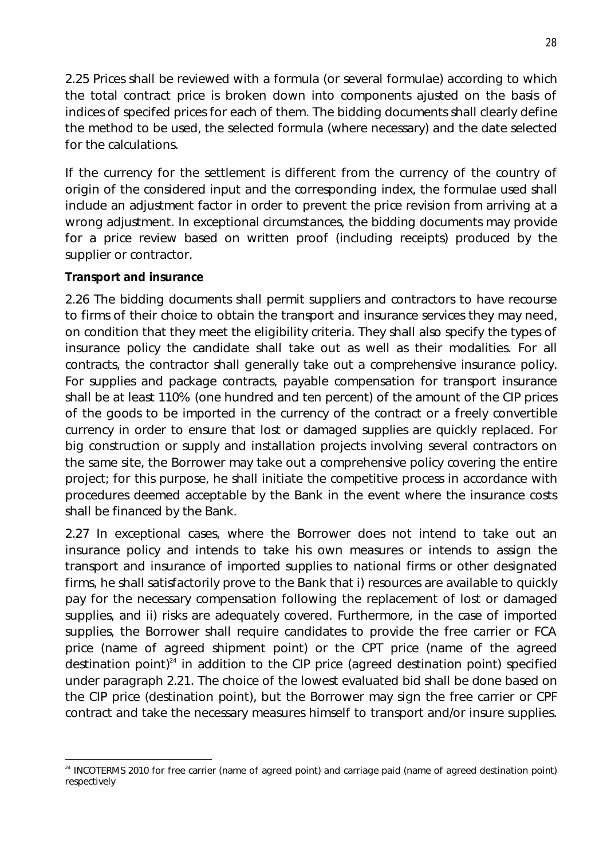2.25 Prices shall be reviewed with a formula (or several formulae) according to which the total contract price is broken down into components ajusted on the basis of indices of specifed prices for each of them. The bidding documents shall clearly define the method to be used, the selected formula (where necessary) and the date selected for the calculations.

If the currency for the settlement is different from the currency of the country of origin of the considered input and the corresponding index, the formulae used shall include an adjustment factor in order to prevent the price revision from arriving at a wrong adjustment. In exceptional circumstances, the bidding documents may provide for a price review based on written proof (including receipts) produced by the supplier or contractor.

### **Transport and insurance**

2.26 The bidding documents shall permit suppliers and contractors to have recourse to firms of their choice to obtain the transport and insurance services they may need, on condition that they meet the eligibility criteria. They shall also specify the types of insurance policy the candidate shall take out as well as their modalities. For all contracts, the contractor shall generally take out a comprehensive insurance policy. For supplies and package contracts, payable compensation for transport insurance shall be at least 110% (one hundred and ten percent) of the amount of the CIP prices of the goods to be imported in the currency of the contract or a freely convertible currency in order to ensure that lost or damaged supplies are quickly replaced. For big construction or supply and installation projects involving several contractors on the same site, the Borrower may take out a comprehensive policy covering the entire project; for this purpose, he shall initiate the competitive process in accordance with procedures deemed acceptable by the Bank in the event where the insurance costs shall be financed by the Bank.

2.27 In exceptional cases, where the Borrower does not intend to take out an insurance policy and intends to take his own measures or intends to assign the transport and insurance of imported supplies to national firms or other designated firms, he shall satisfactorily prove to the Bank that i) resources are available to quickly pay for the necessary compensation following the replacement of lost or damaged supplies, and ii) risks are adequately covered. Furthermore, in the case of imported supplies, the Borrower shall require candidates to provide the free carrier or FCA price (name of agreed shipment point) or the CPT price (name of the agreed destination point)<sup>24</sup> in addition to the CIP price (agreed destination point) specified under paragraph 2.21. The choice of the lowest evaluated bid shall be done based on the CIP price (destination point), but the Borrower may sign the free carrier or CPF contract and take the necessary measures himself to transport and/or insure supplies.

 $\overline{a}$ <sup>24</sup> INCOTERMS 2010 for free carrier (name of agreed point) and carriage paid (name of agreed destination point) respectively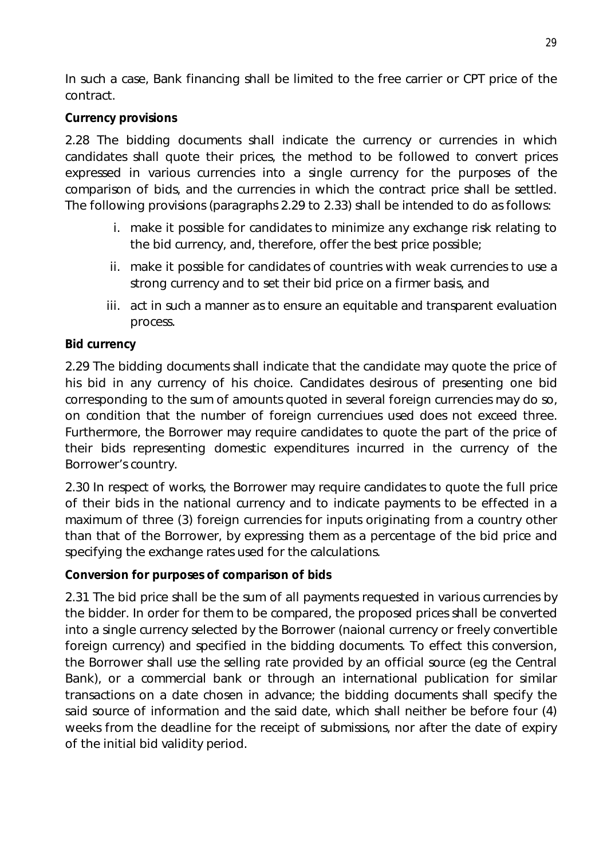In such a case, Bank financing shall be limited to the free carrier or CPT price of the contract.

# **Currency provisions**

2.28 The bidding documents shall indicate the currency or currencies in which candidates shall quote their prices, the method to be followed to convert prices expressed in various currencies into a single currency for the purposes of the comparison of bids, and the currencies in which the contract price shall be settled. The following provisions (paragraphs 2.29 to 2.33) shall be intended to do as follows:

- i. make it possible for candidates to minimize any exchange risk relating to the bid currency, and, therefore, offer the best price possible;
- ii. make it possible for candidates of countries with weak currencies to use a strong currency and to set their bid price on a firmer basis, and
- iii. act in such a manner as to ensure an equitable and transparent evaluation process.

# **Bid currency**

2.29 The bidding documents shall indicate that the candidate may quote the price of his bid in any currency of his choice. Candidates desirous of presenting one bid corresponding to the sum of amounts quoted in several foreign currencies may do so, on condition that the number of foreign currenciues used does not exceed three. Furthermore, the Borrower may require candidates to quote the part of the price of their bids representing domestic expenditures incurred in the currency of the Borrower's country.

2.30 In respect of works, the Borrower may require candidates to quote the full price of their bids in the national currency and to indicate payments to be effected in a maximum of three (3) foreign currencies for inputs originating from a country other than that of the Borrower, by expressing them as a percentage of the bid price and specifying the exchange rates used for the calculations.

#### **Conversion for purposes of comparison of bids**

2.31 The bid price shall be the sum of all payments requested in various currencies by the bidder. In order for them to be compared, the proposed prices shall be converted into a single currency selected by the Borrower (naional currency or freely convertible foreign currency) and specified in the bidding documents. To effect this conversion, the Borrower shall use the selling rate provided by an official source (eg the Central Bank), or a commercial bank or through an international publication for similar transactions on a date chosen in advance; the bidding documents shall specify the said source of information and the said date, which shall neither be before four (4) weeks from the deadline for the receipt of submissions, nor after the date of expiry of the initial bid validity period.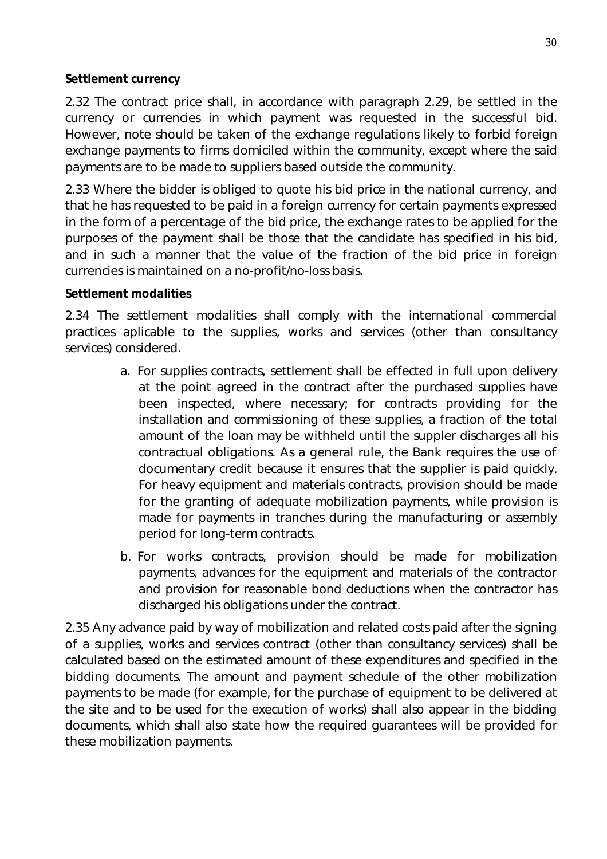#### **Settlement currency**

2.32 The contract price shall, in accordance with paragraph 2.29, be settled in the currency or currencies in which payment was requested in the successful bid. However, note should be taken of the exchange regulations likely to forbid foreign exchange payments to firms domiciled within the community, except where the said payments are to be made to suppliers based outside the community.

2.33 Where the bidder is obliged to quote his bid price in the national currency, and that he has requested to be paid in a foreign currency for certain payments expressed in the form of a percentage of the bid price, the exchange rates to be applied for the purposes of the payment shall be those that the candidate has specified in his bid, and in such a manner that the value of the fraction of the bid price in foreign currencies is maintained on a no-profit/no-loss basis.

#### **Settlement modalities**

2.34 The settlement modalities shall comply with the international commercial practices aplicable to the supplies, works and services (other than consultancy services) considered.

- a. For supplies contracts, settlement shall be effected in full upon delivery at the point agreed in the contract after the purchased supplies have been inspected, where necessary; for contracts providing for the installation and commissioning of these supplies, a fraction of the total amount of the loan may be withheld until the suppler discharges all his contractual obligations. As a general rule, the Bank requires the use of documentary credit because it ensures that the supplier is paid quickly. For heavy equipment and materials contracts, provision should be made for the granting of adequate mobilization payments, while provision is made for payments in tranches during the manufacturing or assembly period for long-term contracts.
- b. For works contracts, provision should be made for mobilization payments, advances for the equipment and materials of the contractor and provision for reasonable bond deductions when the contractor has discharged his obligations under the contract.

2.35 Any advance paid by way of mobilization and related costs paid after the signing of a supplies, works and services contract (other than consultancy services) shall be calculated based on the estimated amount of these expenditures and specified in the bidding documents. The amount and payment schedule of the other mobilization payments to be made (for example, for the purchase of equipment to be delivered at the site and to be used for the execution of works) shall also appear in the bidding documents, which shall also state how the required guarantees will be provided for these mobilization payments.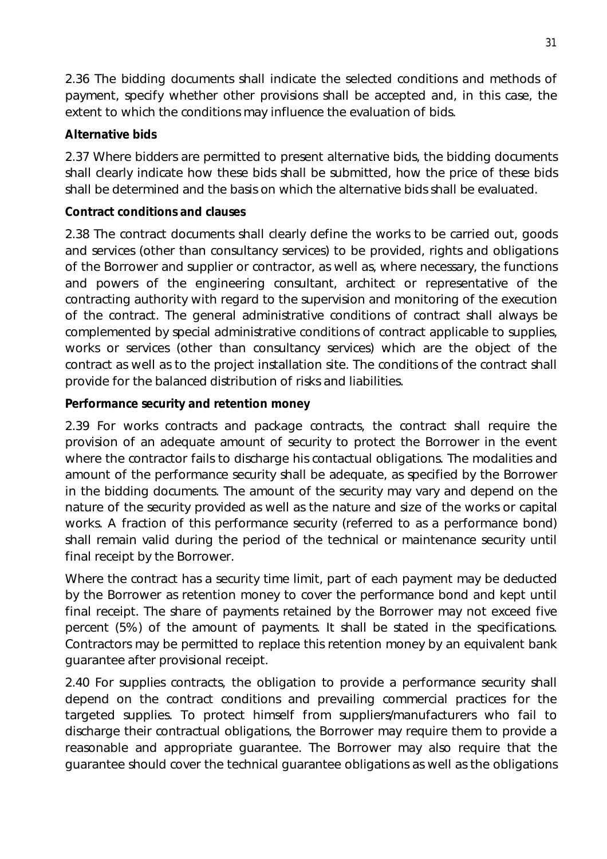2.36 The bidding documents shall indicate the selected conditions and methods of payment, specify whether other provisions shall be accepted and, in this case, the extent to which the conditions may influence the evaluation of bids.

### **Alternative bids**

2.37 Where bidders are permitted to present alternative bids, the bidding documents shall clearly indicate how these bids shall be submitted, how the price of these bids shall be determined and the basis on which the alternative bids shall be evaluated.

### **Contract conditions and clauses**

2.38 The contract documents shall clearly define the works to be carried out, goods and services (other than consultancy services) to be provided, rights and obligations of the Borrower and supplier or contractor, as well as, where necessary, the functions and powers of the engineering consultant, architect or representative of the contracting authority with regard to the supervision and monitoring of the execution of the contract. The general administrative conditions of contract shall always be complemented by special administrative conditions of contract applicable to supplies, works or services (other than consultancy services) which are the object of the contract as well as to the project installation site. The conditions of the contract shall provide for the balanced distribution of risks and liabilities.

### **Performance security and retention money**

2.39 For works contracts and package contracts, the contract shall require the provision of an adequate amount of security to protect the Borrower in the event where the contractor fails to discharge his contactual obligations. The modalities and amount of the performance security shall be adequate, as specified by the Borrower in the bidding documents. The amount of the security may vary and depend on the nature of the security provided as well as the nature and size of the works or capital works. A fraction of this performance security (referred to as a performance bond) shall remain valid during the period of the technical or maintenance security until final receipt by the Borrower.

Where the contract has a security time limit, part of each payment may be deducted by the Borrower as retention money to cover the performance bond and kept until final receipt. The share of payments retained by the Borrower may not exceed five percent (5%) of the amount of payments. It shall be stated in the specifications. Contractors may be permitted to replace this retention money by an equivalent bank guarantee after provisional receipt.

2.40 For supplies contracts, the obligation to provide a performance security shall depend on the contract conditions and prevailing commercial practices for the targeted supplies. To protect himself from suppliers/manufacturers who fail to discharge their contractual obligations, the Borrower may require them to provide a reasonable and appropriate guarantee. The Borrower may also require that the guarantee should cover the technical guarantee obligations as well as the obligations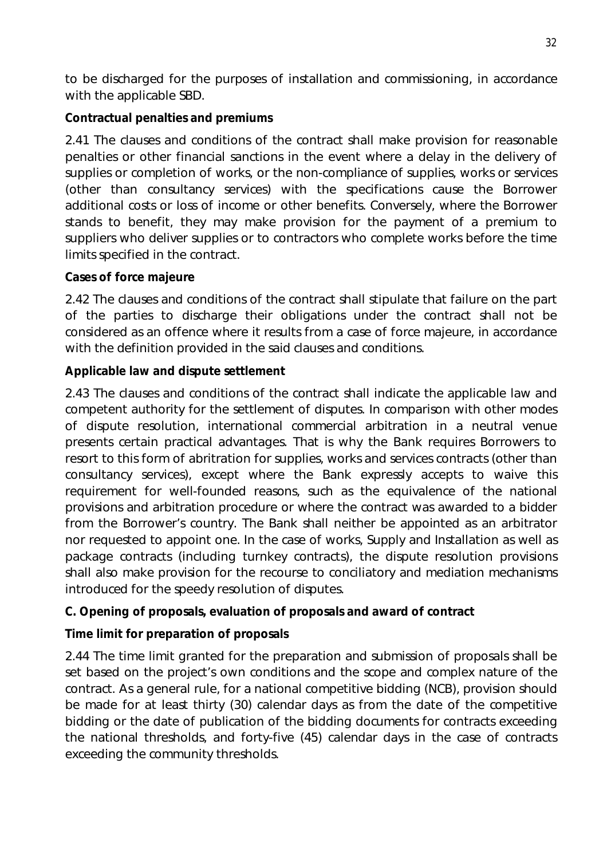to be discharged for the purposes of installation and commissioning, in accordance with the applicable SBD.

# **Contractual penalties and premiums**

2.41 The clauses and conditions of the contract shall make provision for reasonable penalties or other financial sanctions in the event where a delay in the delivery of supplies or completion of works, or the non-compliance of supplies, works or services (other than consultancy services) with the specifications cause the Borrower additional costs or loss of income or other benefits. Conversely, where the Borrower stands to benefit, they may make provision for the payment of a premium to suppliers who deliver supplies or to contractors who complete works before the time limits specified in the contract.

# **Cases of force majeure**

2.42 The clauses and conditions of the contract shall stipulate that failure on the part of the parties to discharge their obligations under the contract shall not be considered as an offence where it results from a case of force majeure, in accordance with the definition provided in the said clauses and conditions.

# **Applicable law and dispute settlement**

2.43 The clauses and conditions of the contract shall indicate the applicable law and competent authority for the settlement of disputes. In comparison with other modes of dispute resolution, international commercial arbitration in a neutral venue presents certain practical advantages. That is why the Bank requires Borrowers to resort to this form of abritration for supplies, works and services contracts (other than consultancy services), except where the Bank expressly accepts to waive this requirement for well-founded reasons, such as the equivalence of the national provisions and arbitration procedure or where the contract was awarded to a bidder from the Borrower's country. The Bank shall neither be appointed as an arbitrator nor requested to appoint one. In the case of works, Supply and Installation as well as package contracts (including turnkey contracts), the dispute resolution provisions shall also make provision for the recourse to conciliatory and mediation mechanisms introduced for the speedy resolution of disputes.

# **C. Opening of proposals, evaluation of proposals and award of contract**

# **Time limit for preparation of proposals**

2.44 The time limit granted for the preparation and submission of proposals shall be set based on the project's own conditions and the scope and complex nature of the contract. As a general rule, for a national competitive bidding (NCB), provision should be made for at least thirty (30) calendar days as from the date of the competitive bidding or the date of publication of the bidding documents for contracts exceeding the national thresholds, and forty-five (45) calendar days in the case of contracts exceeding the community thresholds.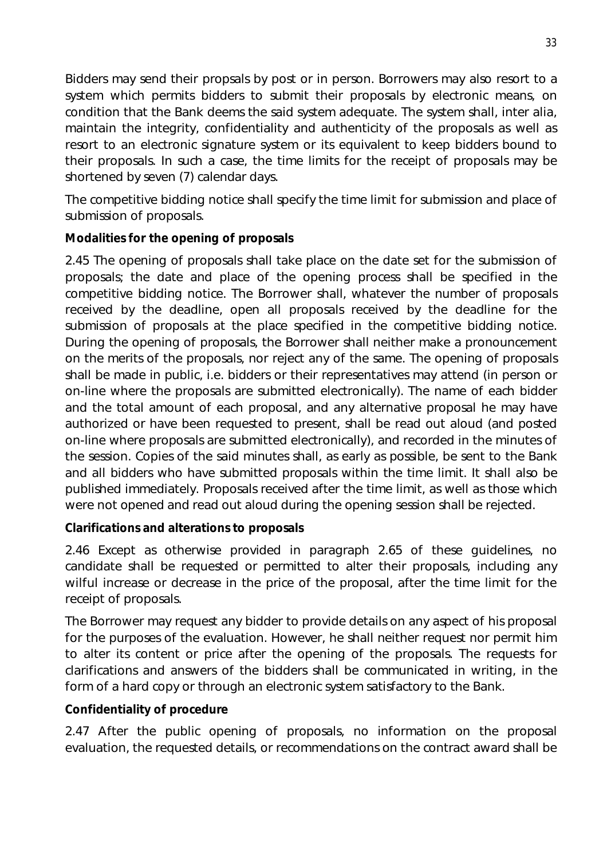Bidders may send their propsals by post or in person. Borrowers may also resort to a system which permits bidders to submit their proposals by electronic means, on condition that the Bank deems the said system adequate. The system shall, inter alia, maintain the integrity, confidentiality and authenticity of the proposals as well as resort to an electronic signature system or its equivalent to keep bidders bound to their proposals. In such a case, the time limits for the receipt of proposals may be shortened by seven (7) calendar days.

The competitive bidding notice shall specify the time limit for submission and place of submission of proposals.

# **Modalities for the opening of proposals**

2.45 The opening of proposals shall take place on the date set for the submission of proposals; the date and place of the opening process shall be specified in the competitive bidding notice. The Borrower shall, whatever the number of proposals received by the deadline, open all proposals received by the deadline for the submission of proposals at the place specified in the competitive bidding notice. During the opening of proposals, the Borrower shall neither make a pronouncement on the merits of the proposals, nor reject any of the same. The opening of proposals shall be made in public, i.e. bidders or their representatives may attend (in person or on-line where the proposals are submitted electronically). The name of each bidder and the total amount of each proposal, and any alternative proposal he may have authorized or have been requested to present, shall be read out aloud (and posted on-line where proposals are submitted electronically), and recorded in the minutes of the session. Copies of the said minutes shall, as early as possible, be sent to the Bank and all bidders who have submitted proposals within the time limit. It shall also be published immediately. Proposals received after the time limit, as well as those which were not opened and read out aloud during the opening session shall be rejected.

# **Clarifications and alterations to proposals**

2.46 Except as otherwise provided in paragraph 2.65 of these guidelines, no candidate shall be requested or permitted to alter their proposals, including any wilful increase or decrease in the price of the proposal, after the time limit for the receipt of proposals.

The Borrower may request any bidder to provide details on any aspect of his proposal for the purposes of the evaluation. However, he shall neither request nor permit him to alter its content or price after the opening of the proposals. The requests for clarifications and answers of the bidders shall be communicated in writing, in the form of a hard copy or through an electronic system satisfactory to the Bank.

# **Confidentiality of procedure**

2.47 After the public opening of proposals, no information on the proposal evaluation, the requested details, or recommendations on the contract award shall be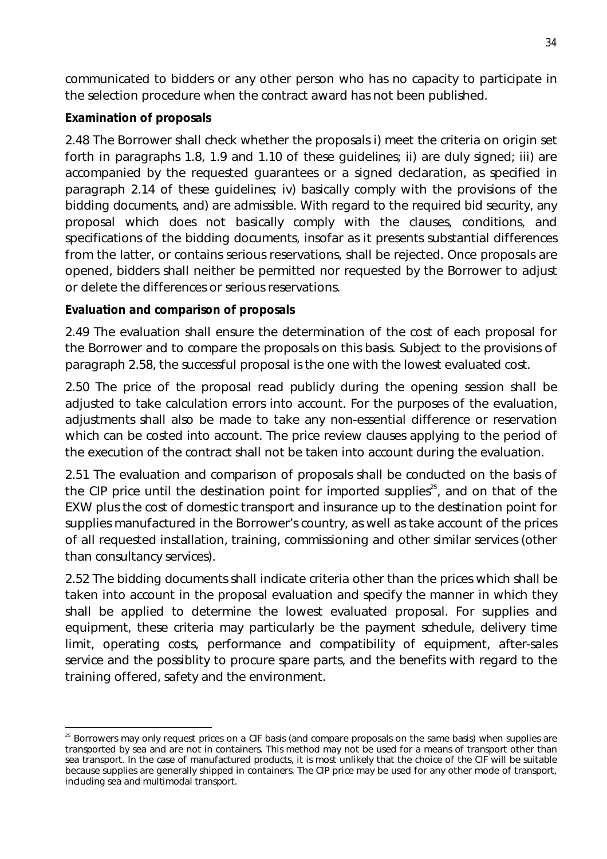communicated to bidders or any other person who has no capacity to participate in the selection procedure when the contract award has not been published.

# **Examination of proposals**

2.48 The Borrower shall check whether the proposals i) meet the criteria on origin set forth in paragraphs 1.8, 1.9 and 1.10 of these guidelines; ii) are duly signed; iii) are accompanied by the requested guarantees or a signed declaration, as specified in paragraph 2.14 of these guidelines; iv) basically comply with the provisions of the bidding documents, and) are admissible. With regard to the required bid security, any proposal which does not basically comply with the clauses, conditions, and specifications of the bidding documents, insofar as it presents substantial differences from the latter, or contains serious reservations, shall be rejected. Once proposals are opened, bidders shall neither be permitted nor requested by the Borrower to adjust or delete the differences or serious reservations.

# **Evaluation and comparison of proposals**

2.49 The evaluation shall ensure the determination of the cost of each proposal for the Borrower and to compare the proposals on this basis. Subject to the provisions of paragraph 2.58, the successful proposal is the one with the lowest evaluated cost.

2.50 The price of the proposal read publicly during the opening session shall be adjusted to take calculation errors into account. For the purposes of the evaluation, adjustments shall also be made to take any non-essential difference or reservation which can be costed into account. The price review clauses applying to the period of the execution of the contract shall not be taken into account during the evaluation.

2.51 The evaluation and comparison of proposals shall be conducted on the basis of the CIP price until the destination point for imported supplies $25$ , and on that of the EXW plus the cost of domestic transport and insurance up to the destination point for supplies manufactured in the Borrower's country, as well as take account of the prices of all requested installation, training, commissioning and other similar services (other than consultancy services).

2.52 The bidding documents shall indicate criteria other than the prices which shall be taken into account in the proposal evaluation and specify the manner in which they shall be applied to determine the lowest evaluated proposal. For supplies and equipment, these criteria may particularly be the payment schedule, delivery time limit, operating costs, performance and compatibility of equipment, after-sales service and the possiblity to procure spare parts, and the benefits with regard to the training offered, safety and the environment.

 $\overline{\phantom{a}}$ <sup>25</sup> Borrowers may only request prices on a CIF basis (and compare proposals on the same basis) when supplies are transported by sea and are not in containers. This method may not be used for a means of transport other than sea transport. In the case of manufactured products, it is most unlikely that the choice of the CIF will be suitable because supplies are generally shipped in containers. The CIP price may be used for any other mode of transport, including sea and multimodal transport.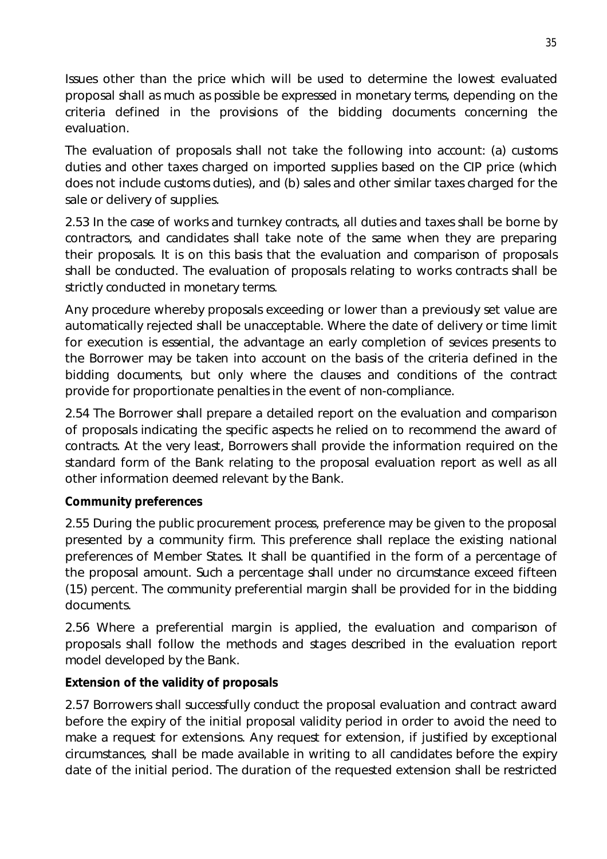Issues other than the price which will be used to determine the lowest evaluated proposal shall as much as possible be expressed in monetary terms, depending on the criteria defined in the provisions of the bidding documents concerning the evaluation.

The evaluation of proposals shall not take the following into account: (a) customs duties and other taxes charged on imported supplies based on the CIP price (which does not include customs duties), and (b) sales and other similar taxes charged for the sale or delivery of supplies.

2.53 In the case of works and turnkey contracts, all duties and taxes shall be borne by contractors, and candidates shall take note of the same when they are preparing their proposals. It is on this basis that the evaluation and comparison of proposals shall be conducted. The evaluation of proposals relating to works contracts shall be strictly conducted in monetary terms.

Any procedure whereby proposals exceeding or lower than a previously set value are automatically rejected shall be unacceptable. Where the date of delivery or time limit for execution is essential, the advantage an early completion of sevices presents to the Borrower may be taken into account on the basis of the criteria defined in the bidding documents, but only where the clauses and conditions of the contract provide for proportionate penalties in the event of non-compliance.

2.54 The Borrower shall prepare a detailed report on the evaluation and comparison of proposals indicating the specific aspects he relied on to recommend the award of contracts. At the very least, Borrowers shall provide the information required on the standard form of the Bank relating to the proposal evaluation report as well as all other information deemed relevant by the Bank.

#### **Community preferences**

2.55 During the public procurement process, preference may be given to the proposal presented by a community firm. This preference shall replace the existing national preferences of Member States. It shall be quantified in the form of a percentage of the proposal amount. Such a percentage shall under no circumstance exceed fifteen (15) percent. The community preferential margin shall be provided for in the bidding documents.

2.56 Where a preferential margin is applied, the evaluation and comparison of proposals shall follow the methods and stages described in the evaluation report model developed by the Bank.

#### **Extension of the validity of proposals**

2.57 Borrowers shall successfully conduct the proposal evaluation and contract award before the expiry of the initial proposal validity period in order to avoid the need to make a request for extensions. Any request for extension, if justified by exceptional circumstances, shall be made available in writing to all candidates before the expiry date of the initial period. The duration of the requested extension shall be restricted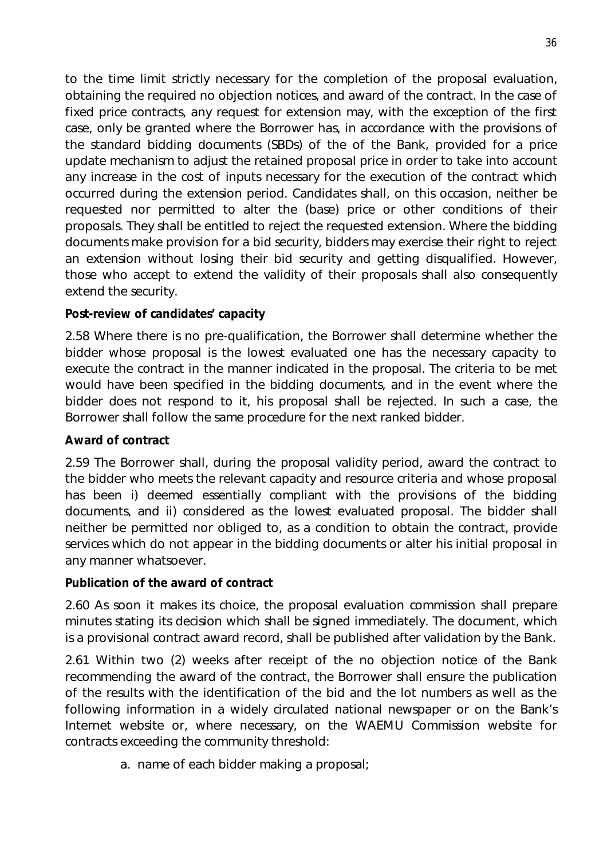to the time limit strictly necessary for the completion of the proposal evaluation, obtaining the required no objection notices, and award of the contract. In the case of fixed price contracts, any request for extension may, with the exception of the first case, only be granted where the Borrower has, in accordance with the provisions of the standard bidding documents (SBDs) of the of the Bank, provided for a price update mechanism to adjust the retained proposal price in order to take into account any increase in the cost of inputs necessary for the execution of the contract which occurred during the extension period. Candidates shall, on this occasion, neither be requested nor permitted to alter the (base) price or other conditions of their proposals. They shall be entitled to reject the requested extension. Where the bidding documents make provision for a bid security, bidders may exercise their right to reject an extension without losing their bid security and getting disqualified. However, those who accept to extend the validity of their proposals shall also consequently extend the security.

# **Post-review of candidates' capacity**

2.58 Where there is no pre-qualification, the Borrower shall determine whether the bidder whose proposal is the lowest evaluated one has the necessary capacity to execute the contract in the manner indicated in the proposal. The criteria to be met would have been specified in the bidding documents, and in the event where the bidder does not respond to it, his proposal shall be rejected. In such a case, the Borrower shall follow the same procedure for the next ranked bidder.

#### **Award of contract**

2.59 The Borrower shall, during the proposal validity period, award the contract to the bidder who meets the relevant capacity and resource criteria and whose proposal has been i) deemed essentially compliant with the provisions of the bidding documents, and ii) considered as the lowest evaluated proposal. The bidder shall neither be permitted nor obliged to, as a condition to obtain the contract, provide services which do not appear in the bidding documents or alter his initial proposal in any manner whatsoever.

#### **Publication of the award of contract**

2.60 As soon it makes its choice, the proposal evaluation commission shall prepare minutes stating its decision which shall be signed immediately. The document, which is a provisional contract award record, shall be published after validation by the Bank.

2.61 Within two (2) weeks after receipt of the no objection notice of the Bank recommending the award of the contract, the Borrower shall ensure the publication of the results with the identification of the bid and the lot numbers as well as the following information in a widely circulated national newspaper or on the Bank's Internet website or, where necessary, on the WAEMU Commission website for contracts exceeding the community threshold:

a. name of each bidder making a proposal;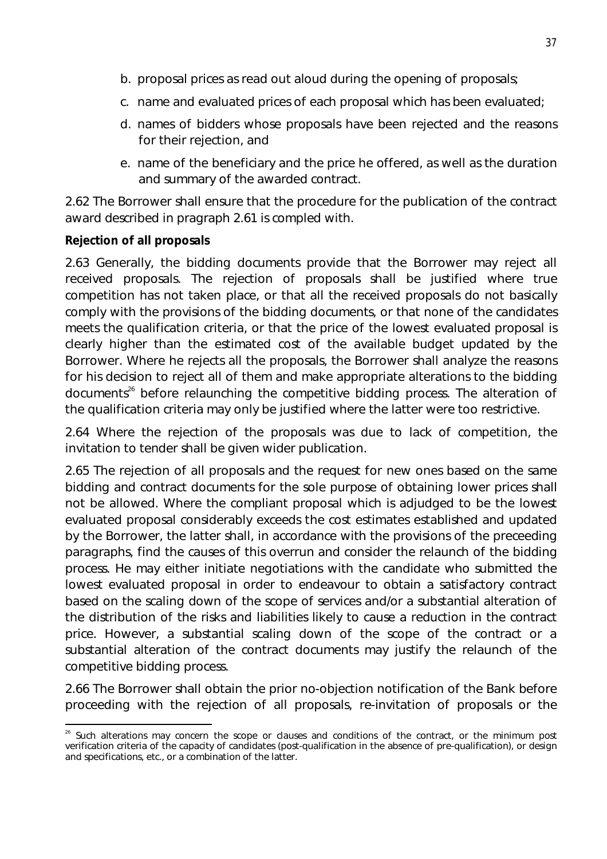- b. proposal prices as read out aloud during the opening of proposals;
- c. name and evaluated prices of each proposal which has been evaluated;
- d. names of bidders whose proposals have been rejected and the reasons for their rejection, and
- e. name of the beneficiary and the price he offered, as well as the duration and summary of the awarded contract.

2.62 The Borrower shall ensure that the procedure for the publication of the contract award described in pragraph 2.61 is compled with.

#### **Rejection of all proposals**

2.63 Generally, the bidding documents provide that the Borrower may reject all received proposals. The rejection of proposals shall be justified where true competition has not taken place, or that all the received proposals do not basically comply with the provisions of the bidding documents, or that none of the candidates meets the qualification criteria, or that the price of the lowest evaluated proposal is clearly higher than the estimated cost of the available budget updated by the Borrower. Where he rejects all the proposals, the Borrower shall analyze the reasons for his decision to reject all of them and make appropriate alterations to the bidding documents<sup>26</sup> before relaunching the competitive bidding process. The alteration of the qualification criteria may only be justified where the latter were too restrictive.

2.64 Where the rejection of the proposals was due to lack of competition, the invitation to tender shall be given wider publication.

2.65 The rejection of all proposals and the request for new ones based on the same bidding and contract documents for the sole purpose of obtaining lower prices shall not be allowed. Where the compliant proposal which is adjudged to be the lowest evaluated proposal considerably exceeds the cost estimates established and updated by the Borrower, the latter shall, in accordance with the provisions of the preceeding paragraphs, find the causes of this overrun and consider the relaunch of the bidding process. He may either initiate negotiations with the candidate who submitted the lowest evaluated proposal in order to endeavour to obtain a satisfactory contract based on the scaling down of the scope of services and/or a substantial alteration of the distribution of the risks and liabilities likely to cause a reduction in the contract price. However, a substantial scaling down of the scope of the contract or a substantial alteration of the contract documents may justify the relaunch of the competitive bidding process.

2.66 The Borrower shall obtain the prior no-objection notification of the Bank before proceeding with the rejection of all proposals, re-invitation of proposals or the

 $\overline{a}$ <sup>26</sup> Such alterations may concern the scope or clauses and conditions of the contract, or the minimum post verification criteria of the capacity of candidates (post-qualification in the absence of pre-qualification), or design and specifications, etc., or a combination of the latter.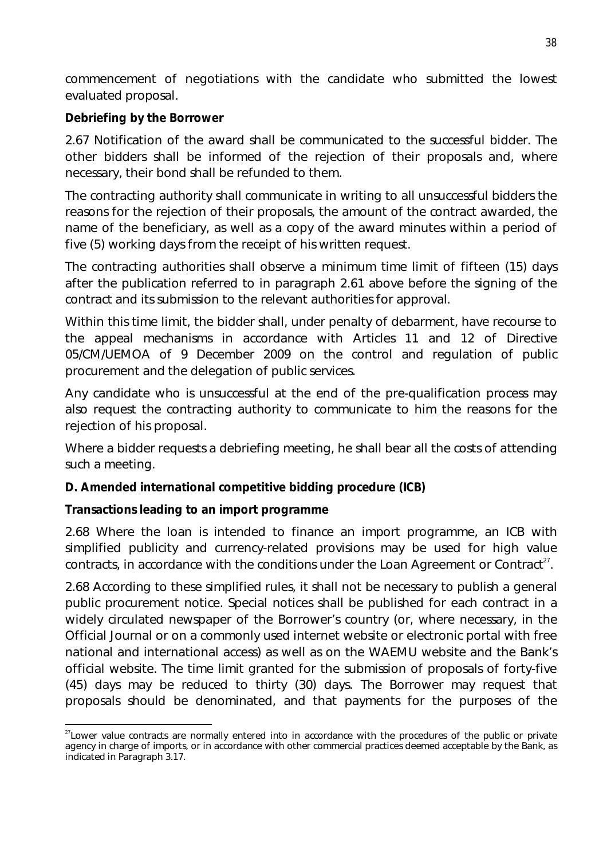commencement of negotiations with the candidate who submitted the lowest evaluated proposal.

# **Debriefing by the Borrower**

2.67 Notification of the award shall be communicated to the successful bidder. The other bidders shall be informed of the rejection of their proposals and, where necessary, their bond shall be refunded to them.

The contracting authority shall communicate in writing to all unsuccessful bidders the reasons for the rejection of their proposals, the amount of the contract awarded, the name of the beneficiary, as well as a copy of the award minutes within a period of five (5) working days from the receipt of his written request.

The contracting authorities shall observe a minimum time limit of fifteen (15) days after the publication referred to in paragraph 2.61 above before the signing of the contract and its submission to the relevant authorities for approval.

Within this time limit, the bidder shall, under penalty of debarment, have recourse to the appeal mechanisms in accordance with Articles 11 and 12 of Directive 05/CM/UEMOA of 9 December 2009 on the control and regulation of public procurement and the delegation of public services.

Any candidate who is unsuccessful at the end of the pre-qualification process may also request the contracting authority to communicate to him the reasons for the rejection of his proposal.

Where a bidder requests a debriefing meeting, he shall bear all the costs of attending such a meeting.

# **D. Amended international competitive bidding procedure (ICB)**

#### **Transactions leading to an import programme**

2.68 Where the loan is intended to finance an import programme, an ICB with simplified publicity and currency-related provisions may be used for high value contracts, in accordance with the conditions under the Loan Agreement or Contract $^{27}$ .

2.68 According to these simplified rules, it shall not be necessary to publish a general public procurement notice. Special notices shall be published for each contract in a widely circulated newspaper of the Borrower's country (or, where necessary, in the Official Journal or on a commonly used internet website or electronic portal with free national and international access) as well as on the WAEMU website and the Bank's official website. The time limit granted for the submission of proposals of forty-five (45) days may be reduced to thirty (30) days. The Borrower may request that proposals should be denominated, and that payments for the purposes of the

 $\overline{a}$  $27$ Lower value contracts are normally entered into in accordance with the procedures of the public or private agency in charge of imports, or in accordance with other commercial practices deemed acceptable by the Bank, as indicated in Paragraph 3.17.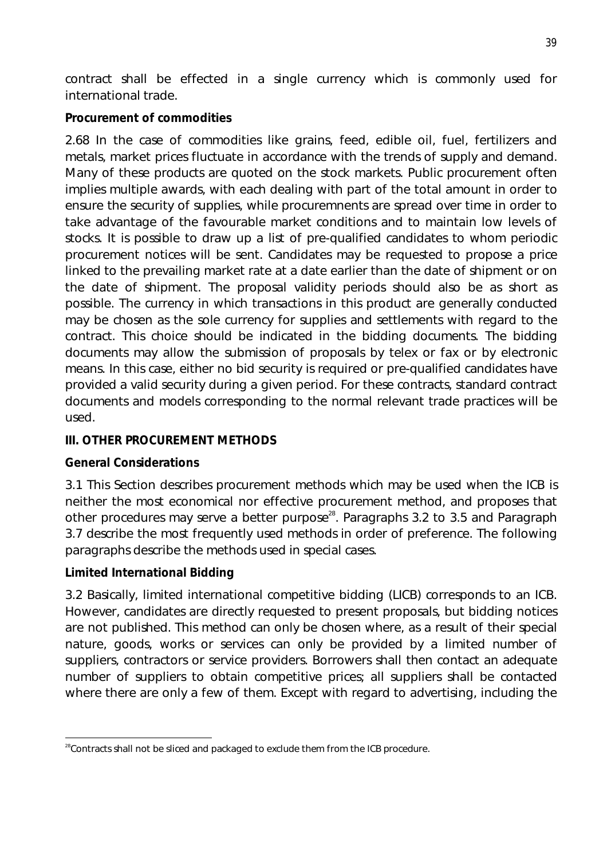contract shall be effected in a single currency which is commonly used for international trade.

# **Procurement of commodities**

2.68 In the case of commodities like grains, feed, edible oil, fuel, fertilizers and metals, market prices fluctuate in accordance with the trends of supply and demand. Many of these products are quoted on the stock markets. Public procurement often implies multiple awards, with each dealing with part of the total amount in order to ensure the security of supplies, while procuremnents are spread over time in order to take advantage of the favourable market conditions and to maintain low levels of stocks. It is possible to draw up a list of pre-qualified candidates to whom periodic procurement notices will be sent. Candidates may be requested to propose a price linked to the prevailing market rate at a date earlier than the date of shipment or on the date of shipment. The proposal validity periods should also be as short as possible. The currency in which transactions in this product are generally conducted may be chosen as the sole currency for supplies and settlements with regard to the contract. This choice should be indicated in the bidding documents. The bidding documents may allow the submission of proposals by telex or fax or by electronic means. In this case, either no bid security is required or pre-qualified candidates have provided a valid security during a given period. For these contracts, standard contract documents and models corresponding to the normal relevant trade practices will be used.

# **III. OTHER PROCUREMENT METHODS**

# **General Considerations**

3.1 This Section describes procurement methods which may be used when the ICB is neither the most economical nor effective procurement method, and proposes that other procedures may serve a better purpose<sup>28</sup>. Paragraphs 3.2 to 3.5 and Paragraph 3.7 describe the most frequently used methods in order of preference. The following paragraphs describe the methods used in special cases.

# **Limited International Bidding**

3.2 Basically, limited international competitive bidding (LICB) corresponds to an ICB. However, candidates are directly requested to present proposals, but bidding notices are not published. This method can only be chosen where, as a result of their special nature, goods, works or services can only be provided by a limited number of suppliers, contractors or service providers. Borrowers shall then contact an adequate number of suppliers to obtain competitive prices; all suppliers shall be contacted where there are only a few of them. Except with regard to advertising, including the

 $\overline{a}$  $28$ Contracts shall not be sliced and packaged to exclude them from the ICB procedure.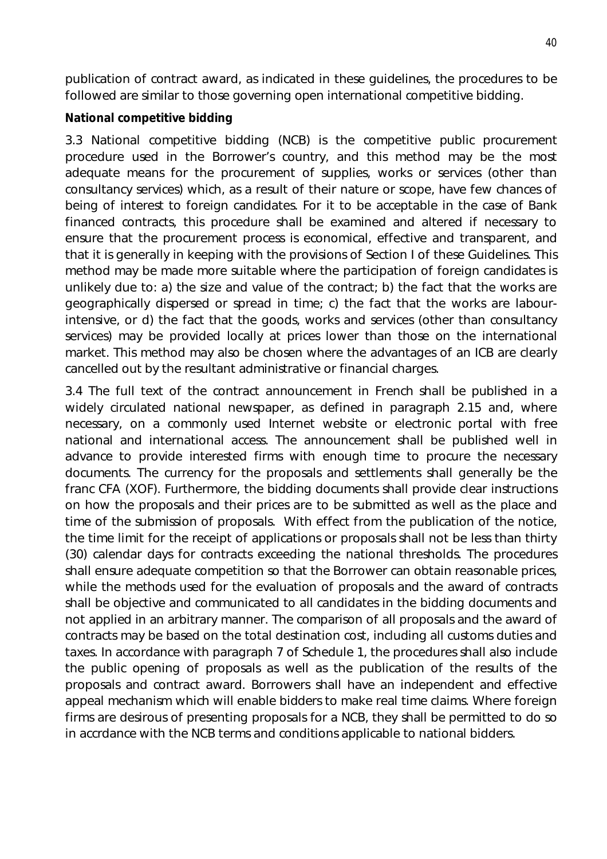publication of contract award, as indicated in these guidelines, the procedures to be followed are similar to those governing open international competitive bidding.

### **National competitive bidding**

3.3 National competitive bidding (NCB) is the competitive public procurement procedure used in the Borrower's country, and this method may be the most adequate means for the procurement of supplies, works or services (other than consultancy services) which, as a result of their nature or scope, have few chances of being of interest to foreign candidates. For it to be acceptable in the case of Bank financed contracts, this procedure shall be examined and altered if necessary to ensure that the procurement process is economical, effective and transparent, and that it is generally in keeping with the provisions of Section I of these Guidelines. This method may be made more suitable where the participation of foreign candidates is unlikely due to: a) the size and value of the contract; b) the fact that the works are geographically dispersed or spread in time; c) the fact that the works are labourintensive, or d) the fact that the goods, works and services (other than consultancy services) may be provided locally at prices lower than those on the international market. This method may also be chosen where the advantages of an ICB are clearly cancelled out by the resultant administrative or financial charges.

3.4 The full text of the contract announcement in French shall be published in a widely circulated national newspaper, as defined in paragraph 2.15 and, where necessary, on a commonly used Internet website or electronic portal with free national and international access. The announcement shall be published well in advance to provide interested firms with enough time to procure the necessary documents. The currency for the proposals and settlements shall generally be the franc CFA (XOF). Furthermore, the bidding documents shall provide clear instructions on how the proposals and their prices are to be submitted as well as the place and time of the submission of proposals. With effect from the publication of the notice, the time limit for the receipt of applications or proposals shall not be less than thirty (30) calendar days for contracts exceeding the national thresholds. The procedures shall ensure adequate competition so that the Borrower can obtain reasonable prices, while the methods used for the evaluation of proposals and the award of contracts shall be objective and communicated to all candidates in the bidding documents and not applied in an arbitrary manner. The comparison of all proposals and the award of contracts may be based on the total destination cost, including all customs duties and taxes. In accordance with paragraph 7 of Schedule 1, the procedures shall also include the public opening of proposals as well as the publication of the results of the proposals and contract award. Borrowers shall have an independent and effective appeal mechanism which will enable bidders to make real time claims. Where foreign firms are desirous of presenting proposals for a NCB, they shall be permitted to do so in accrdance with the NCB terms and conditions applicable to national bidders.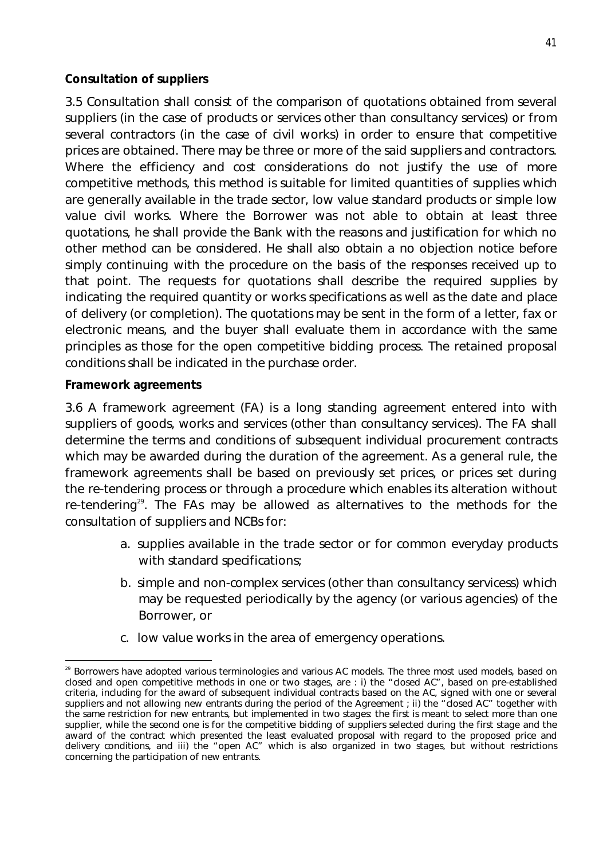### **Consultation of suppliers**

3.5 Consultation shall consist of the comparison of quotations obtained from several suppliers (in the case of products or services other than consultancy services) or from several contractors (in the case of civil works) in order to ensure that competitive prices are obtained. There may be three or more of the said suppliers and contractors. Where the efficiency and cost considerations do not justify the use of more competitive methods, this method is suitable for limited quantities of supplies which are generally available in the trade sector, low value standard products or simple low value civil works. Where the Borrower was not able to obtain at least three quotations, he shall provide the Bank with the reasons and justification for which no other method can be considered. He shall also obtain a no objection notice before simply continuing with the procedure on the basis of the responses received up to that point. The requests for quotations shall describe the required supplies by indicating the required quantity or works specifications as well as the date and place of delivery (or completion). The quotations may be sent in the form of a letter, fax or electronic means, and the buyer shall evaluate them in accordance with the same principles as those for the open competitive bidding process. The retained proposal conditions shall be indicated in the purchase order.

#### **Framework agreements**

3.6 A framework agreement (FA) is a long standing agreement entered into with suppliers of goods, works and services (other than consultancy services). The FA shall determine the terms and conditions of subsequent individual procurement contracts which may be awarded during the duration of the agreement. As a general rule, the framework agreements shall be based on previously set prices, or prices set during the re-tendering process or through a procedure which enables its alteration without re-tendering<sup>29</sup>. The FAs may be allowed as alternatives to the methods for the consultation of suppliers and NCBs for:

- a. supplies available in the trade sector or for common everyday products with standard specifications;
- b. simple and non-complex services (other than consultancy servicess) which may be requested periodically by the agency (or various agencies) of the Borrower, or
- c. low value works in the area of emergency operations.

 $\overline{a}$  $^{29}$  Borrowers have adopted various terminologies and various AC models. The three most used models, based on closed and open competitive methods in one or two stages, are : i) the "closed AC", based on pre-established criteria, including for the award of subsequent individual contracts based on the AC, signed with one or several suppliers and not allowing new entrants during the period of the Agreement ; ii) the "closed AC" together with the same restriction for new entrants, but implemented in two stages: the first is meant to select more than one supplier, while the second one is for the competitive bidding of suppliers selected during the first stage and the award of the contract which presented the least evaluated proposal with regard to the proposed price and delivery conditions, and iii) the "open AC" which is also organized in two stages, but without restrictions concerning the participation of new entrants.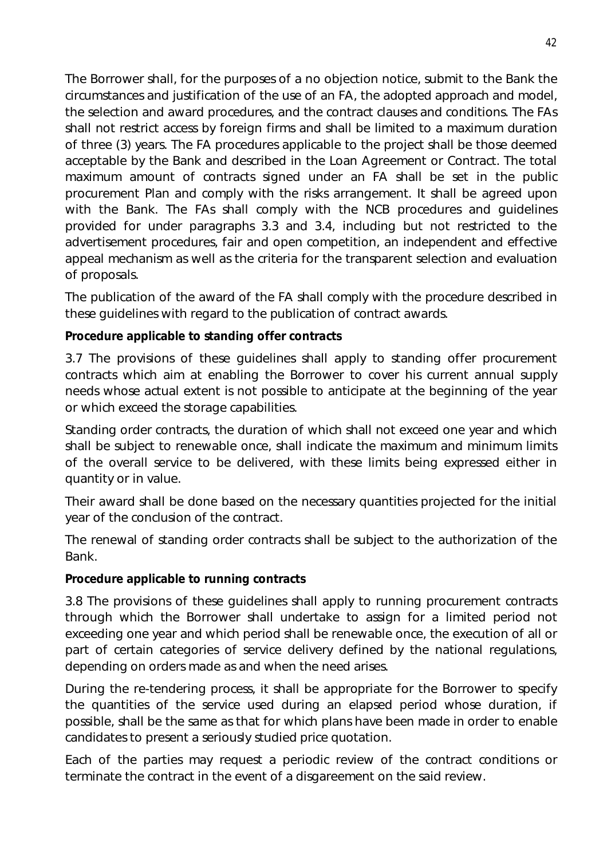The Borrower shall, for the purposes of a no objection notice, submit to the Bank the circumstances and justification of the use of an FA, the adopted approach and model, the selection and award procedures, and the contract clauses and conditions. The FAs shall not restrict access by foreign firms and shall be limited to a maximum duration of three (3) years. The FA procedures applicable to the project shall be those deemed acceptable by the Bank and described in the Loan Agreement or Contract. The total maximum amount of contracts signed under an FA shall be set in the public procurement Plan and comply with the risks arrangement. It shall be agreed upon with the Bank. The FAs shall comply with the NCB procedures and guidelines provided for under paragraphs 3.3 and 3.4, including but not restricted to the advertisement procedures, fair and open competition, an independent and effective appeal mechanism as well as the criteria for the transparent selection and evaluation of proposals.

The publication of the award of the FA shall comply with the procedure described in these guidelines with regard to the publication of contract awards.

### **Procedure applicable to standing offer contracts**

3.7 The provisions of these guidelines shall apply to standing offer procurement contracts which aim at enabling the Borrower to cover his current annual supply needs whose actual extent is not possible to anticipate at the beginning of the year or which exceed the storage capabilities.

Standing order contracts, the duration of which shall not exceed one year and which shall be subject to renewable once, shall indicate the maximum and minimum limits of the overall service to be delivered, with these limits being expressed either in quantity or in value.

Their award shall be done based on the necessary quantities projected for the initial year of the conclusion of the contract.

The renewal of standing order contracts shall be subject to the authorization of the Bank.

#### **Procedure applicable to running contracts**

3.8 The provisions of these guidelines shall apply to running procurement contracts through which the Borrower shall undertake to assign for a limited period not exceeding one year and which period shall be renewable once, the execution of all or part of certain categories of service delivery defined by the national regulations, depending on orders made as and when the need arises.

During the re-tendering process, it shall be appropriate for the Borrower to specify the quantities of the service used during an elapsed period whose duration, if possible, shall be the same as that for which plans have been made in order to enable candidates to present a seriously studied price quotation.

Each of the parties may request a periodic review of the contract conditions or terminate the contract in the event of a disgareement on the said review.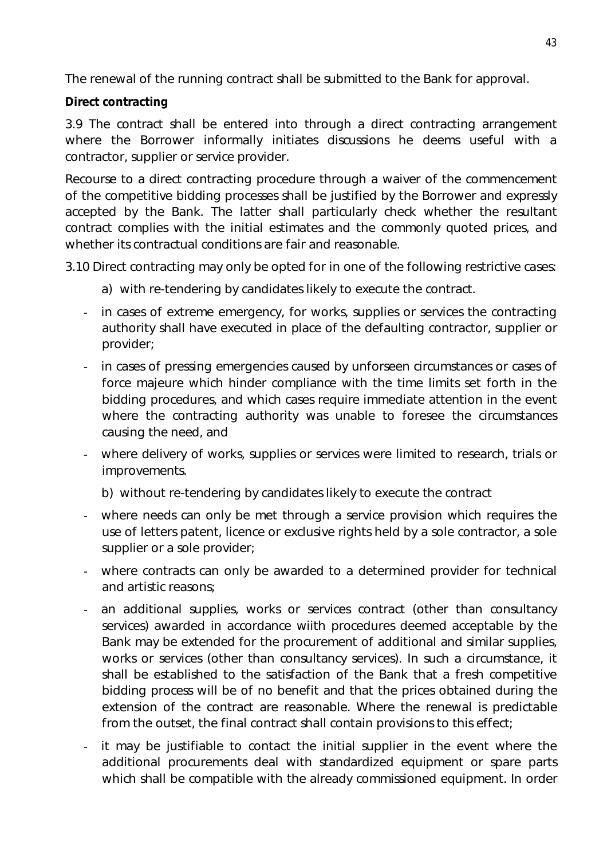The renewal of the running contract shall be submitted to the Bank for approval.

# **Direct contracting**

3.9 The contract shall be entered into through a direct contracting arrangement where the Borrower informally initiates discussions he deems useful with a contractor, supplier or service provider.

Recourse to a direct contracting procedure through a waiver of the commencement of the competitive bidding processes shall be justified by the Borrower and expressly accepted by the Bank. The latter shall particularly check whether the resultant contract complies with the initial estimates and the commonly quoted prices, and whether its contractual conditions are fair and reasonable.

3.10 Direct contracting may only be opted for in one of the following restrictive cases:

- a) with re-tendering by candidates likely to execute the contract.
- in cases of extreme emergency, for works, supplies or services the contracting authority shall have executed in place of the defaulting contractor, supplier or provider;
- in cases of pressing emergencies caused by unforseen circumstances or cases of force majeure which hinder compliance with the time limits set forth in the bidding procedures, and which cases require immediate attention in the event where the contracting authority was unable to foresee the circumstances causing the need, and
- where delivery of works, supplies or services were limited to research, trials or improvements.
	- b) without re-tendering by candidates likely to execute the contract
- where needs can only be met through a service provision which requires the use of letters patent, licence or exclusive rights held by a sole contractor, a sole supplier or a sole provider;
- where contracts can only be awarded to a determined provider for technical and artistic reasons;
- an additional supplies, works or services contract (other than consultancy services) awarded in accordance wiith procedures deemed acceptable by the Bank may be extended for the procurement of additional and similar supplies, works or services (other than consultancy services). In such a circumstance, it shall be established to the satisfaction of the Bank that a fresh competitive bidding process will be of no benefit and that the prices obtained during the extension of the contract are reasonable. Where the renewal is predictable from the outset, the final contract shall contain provisions to this effect;
- it may be justifiable to contact the initial supplier in the event where the additional procurements deal with standardized equipment or spare parts which shall be compatible with the already commissioned equipment. In order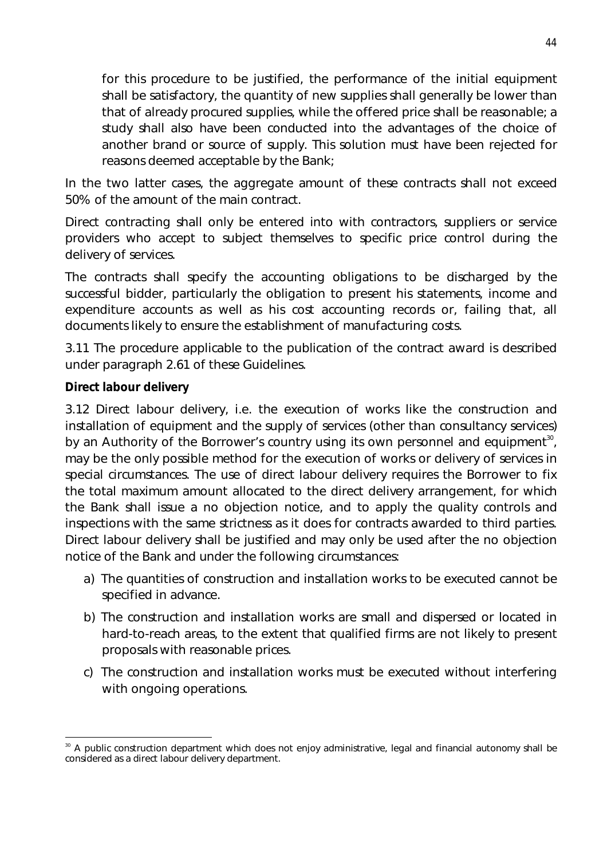for this procedure to be justified, the performance of the initial equipment shall be satisfactory, the quantity of new supplies shall generally be lower than that of already procured supplies, while the offered price shall be reasonable; a study shall also have been conducted into the advantages of the choice of another brand or source of supply. This solution must have been rejected for reasons deemed acceptable by the Bank;

In the two latter cases, the aggregate amount of these contracts shall not exceed 50% of the amount of the main contract.

Direct contracting shall only be entered into with contractors, suppliers or service providers who accept to subject themselves to specific price control during the delivery of services.

The contracts shall specify the accounting obligations to be discharged by the successful bidder, particularly the obligation to present his statements, income and expenditure accounts as well as his cost accounting records or, failing that, all documents likely to ensure the establishment of manufacturing costs.

3.11 The procedure applicable to the publication of the contract award is described under paragraph 2.61 of these Guidelines.

### **Direct labour delivery**

3.12 Direct labour delivery, i.e. the execution of works like the construction and installation of equipment and the supply of services (other than consultancy services) by an Authority of the Borrower's country using its own personnel and equipment<sup>30</sup>, may be the only possible method for the execution of works or delivery of services in special circumstances. The use of direct labour delivery requires the Borrower to fix the total maximum amount allocated to the direct delivery arrangement, for which the Bank shall issue a no objection notice, and to apply the quality controls and inspections with the same strictness as it does for contracts awarded to third parties. Direct labour delivery shall be justified and may only be used after the no objection notice of the Bank and under the following circumstances:

- a) The quantities of construction and installation works to be executed cannot be specified in advance.
- b) The construction and installation works are small and dispersed or located in hard-to-reach areas, to the extent that qualified firms are not likely to present proposals with reasonable prices.
- c) The construction and installation works must be executed without interfering with ongoing operations.

 $\overline{\phantom{a}}$ <sup>30</sup> A public construction department which does not enjoy administrative, legal and financial autonomy shall be considered as a direct labour delivery department.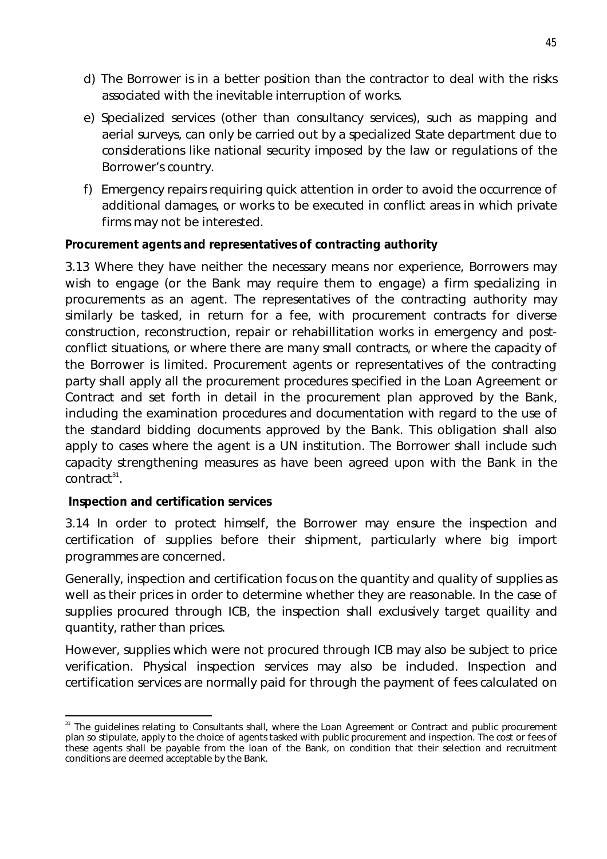- d) The Borrower is in a better position than the contractor to deal with the risks associated with the inevitable interruption of works.
- e) Specialized services (other than consultancy services), such as mapping and aerial surveys, can only be carried out by a specialized State department due to considerations like national security imposed by the law or regulations of the Borrower's country.
- f) Emergency repairs requiring quick attention in order to avoid the occurrence of additional damages, or works to be executed in conflict areas in which private firms may not be interested.

### **Procurement agents and representatives of contracting authority**

3.13 Where they have neither the necessary means nor experience, Borrowers may wish to engage (or the Bank may require them to engage) a firm specializing in procurements as an agent. The representatives of the contracting authority may similarly be tasked, in return for a fee, with procurement contracts for diverse construction, reconstruction, repair or rehabillitation works in emergency and postconflict situations, or where there are many small contracts, or where the capacity of the Borrower is limited. Procurement agents or representatives of the contracting party shall apply all the procurement procedures specified in the Loan Agreement or Contract and set forth in detail in the procurement plan approved by the Bank, including the examination procedures and documentation with regard to the use of the standard bidding documents approved by the Bank. This obligation shall also apply to cases where the agent is a UN institution. The Borrower shall include such capacity strengthening measures as have been agreed upon with the Bank in the  $\text{contract}^{\scriptscriptstyle 31}.$ 

#### **Inspection and certification services**

3.14 In order to protect himself, the Borrower may ensure the inspection and certification of supplies before their shipment, particularly where big import programmes are concerned.

Generally, inspection and certification focus on the quantity and quality of supplies as well as their prices in order to determine whether they are reasonable. In the case of supplies procured through ICB, the inspection shall exclusively target quaility and quantity, rather than prices.

However, supplies which were not procured through ICB may also be subject to price verification. Physical inspection services may also be included. Inspection and certification services are normally paid for through the payment of fees calculated on

 $\overline{\phantom{a}}$ <sup>31</sup> The guidelines relating to Consultants shall, where the Loan Agreement or Contract and public procurement plan so stipulate, apply to the choice of agents tasked with public procurement and inspection. The cost or fees of these agents shall be payable from the loan of the Bank, on condition that their selection and recruitment conditions are deemed acceptable by the Bank.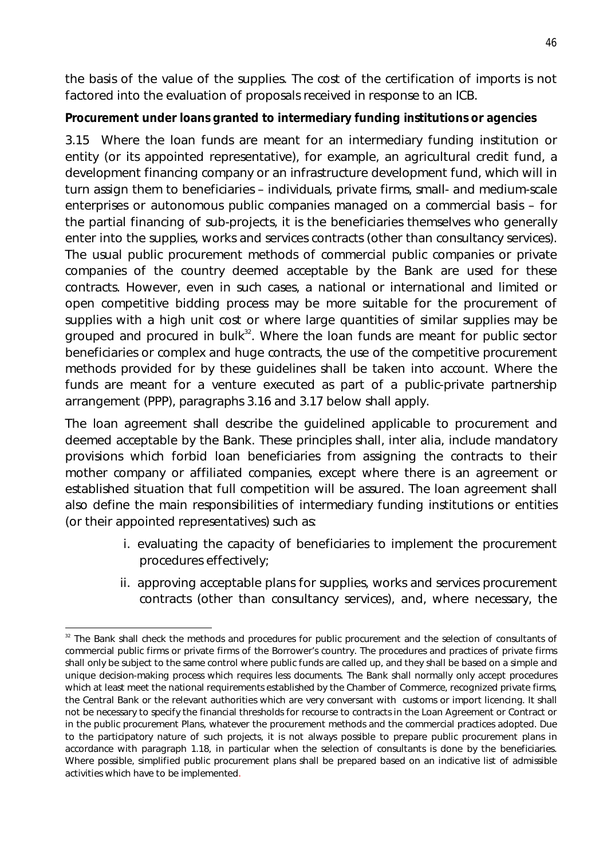the basis of the value of the supplies. The cost of the certification of imports is not factored into the evaluation of proposals received in response to an ICB.

# **Procurement under loans granted to intermediary funding institutions or agencies**

3.15 Where the loan funds are meant for an intermediary funding institution or entity (or its appointed representative), for example, an agricultural credit fund, a development financing company or an infrastructure development fund, which will in turn assign them to beneficiaries – individuals, private firms, small- and medium-scale enterprises or autonomous public companies managed on a commercial basis – for the partial financing of sub-projects, it is the beneficiaries themselves who generally enter into the supplies, works and services contracts (other than consultancy services). The usual public procurement methods of commercial public companies or private companies of the country deemed acceptable by the Bank are used for these contracts. However, even in such cases, a national or international and limited or open competitive bidding process may be more suitable for the procurement of supplies with a high unit cost or where large quantities of similar supplies may be grouped and procured in bulk $32$ . Where the loan funds are meant for public sector beneficiaries or complex and huge contracts, the use of the competitive procurement methods provided for by these guidelines shall be taken into account. Where the funds are meant for a venture executed as part of a public-private partnership arrangement (PPP), paragraphs 3.16 and 3.17 below shall apply.

The loan agreement shall describe the guidelined applicable to procurement and deemed acceptable by the Bank. These principles shall, inter alia, include mandatory provisions which forbid loan beneficiaries from assigning the contracts to their mother company or affiliated companies, except where there is an agreement or established situation that full competition will be assured. The loan agreement shall also define the main responsibilities of intermediary funding institutions or entities (or their appointed representatives) such as:

- i. evaluating the capacity of beneficiaries to implement the procurement procedures effectively;
- ii. approving acceptable plans for supplies, works and services procurement contracts (other than consultancy services), and, where necessary, the

 $\overline{a}$  $32$  The Bank shall check the methods and procedures for public procurement and the selection of consultants of commercial public firms or private firms of the Borrower's country. The procedures and practices of private firms shall only be subject to the same control where public funds are called up, and they shall be based on a simple and unique decision-making process which requires less documents. The Bank shall normally only accept procedures which at least meet the national requirements established by the Chamber of Commerce, recognized private firms, the Central Bank or the relevant authorities which are very conversant with customs or import licencing. It shall not be necessary to specify the financial thresholds for recourse to contracts in the Loan Agreement or Contract or in the public procurement Plans, whatever the procurement methods and the commercial practices adopted. Due to the participatory nature of such projects, it is not always possible to prepare public procurement plans in accordance with paragraph 1.18, in particular when the selection of consultants is done by the beneficiaries. Where possible, simplified public procurement plans shall be prepared based on an indicative list of admissible activities which have to be implemented.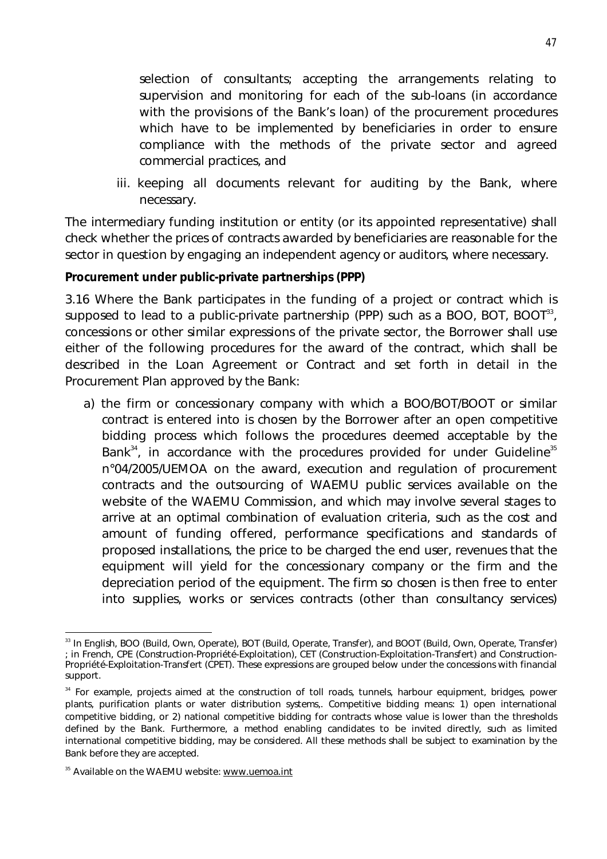selection of consultants; accepting the arrangements relating to supervision and monitoring for each of the sub-loans (in accordance with the provisions of the Bank's loan) of the procurement procedures which have to be implemented by beneficiaries in order to ensure compliance with the methods of the private sector and agreed commercial practices, and

iii. keeping all documents relevant for auditing by the Bank, where necessary.

The intermediary funding institution or entity (or its appointed representative) shall check whether the prices of contracts awarded by beneficiaries are reasonable for the sector in question by engaging an independent agency or auditors, where necessary.

#### **Procurement under public-private partnerships (PPP)**

3.16 Where the Bank participates in the funding of a project or contract which is supposed to lead to a public-private partnership (PPP) such as a BOO, BOT, BOOT $^{33}$ , concessions or other similar expressions of the private sector, the Borrower shall use either of the following procedures for the award of the contract, which shall be described in the Loan Agreement or Contract and set forth in detail in the Procurement Plan approved by the Bank:

a) the firm or concessionary company with which a BOO/BOT/BOOT or similar contract is entered into is chosen by the Borrower after an open competitive bidding process which follows the procedures deemed acceptable by the Bank $^{34}$ , in accordance with the procedures provided for under Guideline $^{35}$ n°04/2005/UEMOA on the award, execution and regulation of procurement contracts and the outsourcing of WAEMU public services available on the website of the WAEMU Commission, and which may involve several stages to arrive at an optimal combination of evaluation criteria, such as the cost and amount of funding offered, performance specifications and standards of proposed installations, the price to be charged the end user, revenues that the equipment will yield for the concessionary company or the firm and the depreciation period of the equipment. The firm so chosen is then free to enter into supplies, works or services contracts (other than consultancy services)

 $\overline{a}$ <sup>33</sup> In English, BOO (Build, Own, Operate), BOT (Build, Operate, Transfer), and BOOT (Build, Own, Operate, Transfer) ; in French, *CPE (Construction-Propriété-Exploitation), CET (Construction-Exploitation-Transfert) and Construction-Propriété-Exploitation-Transfert (CPET)*. These expressions are grouped below under the concessions with financial support.

<sup>&</sup>lt;sup>34</sup> For example, projects aimed at the construction of toll roads, tunnels, harbour equipment, bridges, power plants, purification plants or water distribution systems,. Competitive bidding means: 1) open international competitive bidding, or 2) national competitive bidding for contracts whose value is lower than the thresholds defined by the Bank. Furthermore, a method enabling candidates to be invited directly, such as limited international competitive bidding, may be considered. All these methods shall be subject to examination by the Bank before they are accepted.

<sup>&</sup>lt;sup>35</sup> Available on the WAEMU website: www.uemoa.int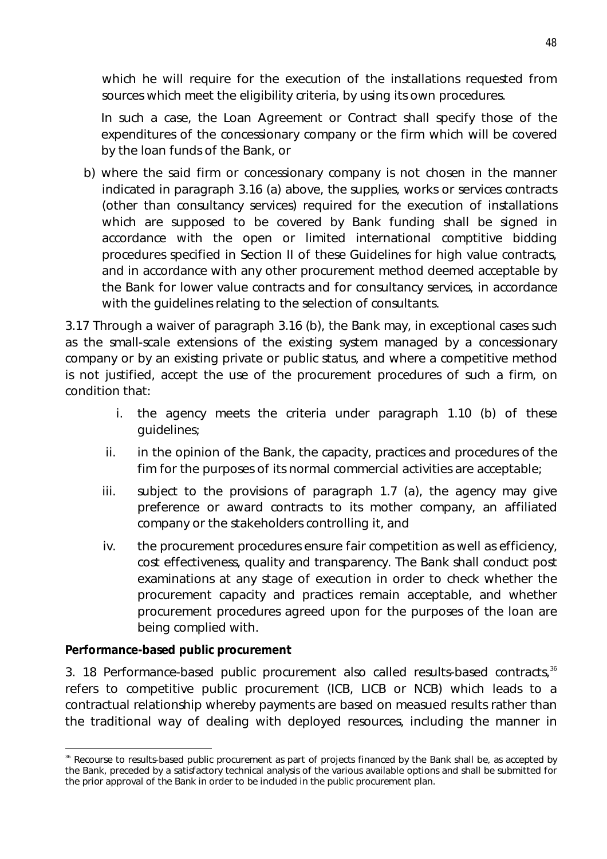which he will require for the execution of the installations requested from sources which meet the eligibility criteria, by using its own procedures.

In such a case, the Loan Agreement or Contract shall specify those of the expenditures of the concessionary company or the firm which will be covered by the loan funds of the Bank, or

b) where the said firm or concessionary company is not chosen in the manner indicated in paragraph 3.16 (a) above, the supplies, works or services contracts (other than consultancy services) required for the execution of installations which are supposed to be covered by Bank funding shall be signed in accordance with the open or limited international comptitive bidding procedures specified in Section II of these Guidelines for high value contracts, and in accordance with any other procurement method deemed acceptable by the Bank for lower value contracts and for consultancy services, in accordance with the guidelines relating to the selection of consultants.

3.17 Through a waiver of paragraph 3.16 (b), the Bank may, in exceptional cases such as the small-scale extensions of the existing system managed by a concessionary company or by an existing private or public status, and where a competitive method is not justified, accept the use of the procurement procedures of such a firm, on condition that:

- i. the agency meets the criteria under paragraph 1.10 (b) of these guidelines;
- ii. in the opinion of the Bank, the capacity, practices and procedures of the fim for the purposes of its normal commercial activities are acceptable;
- iii. subject to the provisions of paragraph 1.7 (a), the agency may give preference or award contracts to its mother company, an affiliated company or the stakeholders controlling it, and
- iv. the procurement procedures ensure fair competition as well as efficiency, cost effectiveness, quality and transparency. The Bank shall conduct post examinations at any stage of execution in order to check whether the procurement capacity and practices remain acceptable, and whether procurement procedures agreed upon for the purposes of the loan are being complied with.

#### **Performance-based public procurement**

3. 18 Performance-based public procurement also called results-based contracts,<sup>36</sup> refers to competitive public procurement (ICB, LICB or NCB) which leads to a contractual relationship whereby payments are based on measued results rather than the traditional way of dealing with deployed resources, including the manner in

 $\overline{a}$ <sup>36</sup> Recourse to results-based public procurement as part of projects financed by the Bank shall be, as accepted by the Bank, preceded by a satisfactory technical analysis of the various available options and shall be submitted for the prior approval of the Bank in order to be included in the public procurement plan.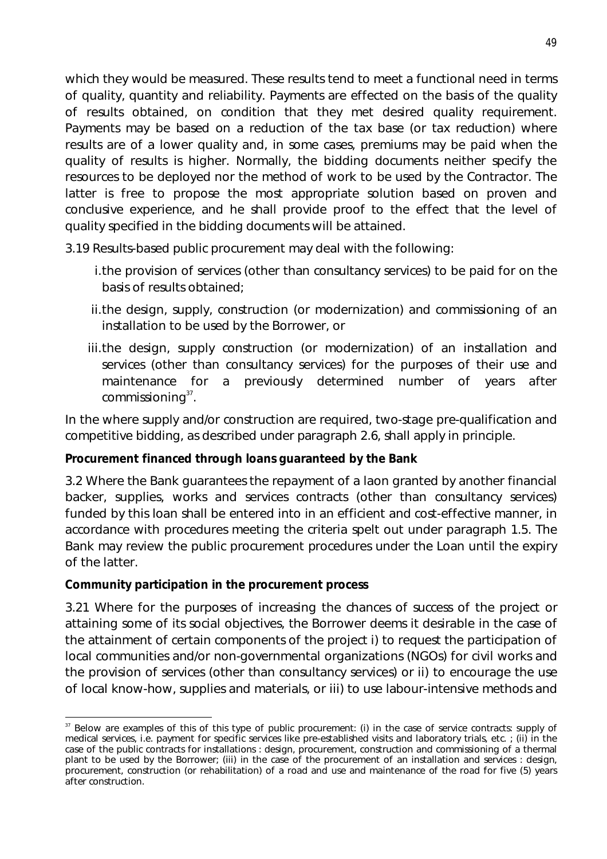which they would be measured. These results tend to meet a functional need in terms of quality, quantity and reliability. Payments are effected on the basis of the quality of results obtained, on condition that they met desired quality requirement. Payments may be based on a reduction of the tax base (or tax reduction) where results are of a lower quality and, in some cases, premiums may be paid when the quality of results is higher. Normally, the bidding documents neither specify the resources to be deployed nor the method of work to be used by the Contractor. The latter is free to propose the most appropriate solution based on proven and conclusive experience, and he shall provide proof to the effect that the level of quality specified in the bidding documents will be attained.

3.19 Results-based public procurement may deal with the following:

- i.the provision of services (other than consultancy services) to be paid for on the basis of results obtained;
- ii.the design, supply, construction (or modernization) and commissioning of an installation to be used by the Borrower, or
- iii.the design, supply construction (or modernization) of an installation and services (other than consultancy services) for the purposes of their use and maintenance for a previously determined number of years after  ${\sf commissioning}^{37}$ .

In the where supply and/or construction are required, two-stage pre-qualification and competitive bidding, as described under paragraph 2.6, shall apply in principle.

# **Procurement financed through loans guaranteed by the Bank**

3.2 Where the Bank guarantees the repayment of a laon granted by another financial backer, supplies, works and services contracts (other than consultancy services) funded by this loan shall be entered into in an efficient and cost-effective manner, in accordance with procedures meeting the criteria spelt out under paragraph 1.5. The Bank may review the public procurement procedures under the Loan until the expiry of the latter.

# **Community participation in the procurement process**

3.21 Where for the purposes of increasing the chances of success of the project or attaining some of its social objectives, the Borrower deems it desirable in the case of the attainment of certain components of the project i) to request the participation of local communities and/or non-governmental organizations (NGOs) for civil works and the provision of services (other than consultancy services) or ii) to encourage the use of local know-how, supplies and materials, or iii) to use labour-intensive methods and

 $\overline{a}$  $37$  Below are examples of this of this type of public procurement: (i) in the case of service contracts: supply of medical services, i.e. payment for specific services like pre-established visits and laboratory trials, etc. ; (ii) in the case of the public contracts for installations : design, procurement, construction and commissioning of a thermal plant to be used by the Borrower; (iii) in the case of the procurement of an installation and services : design, procurement, construction (or rehabilitation) of a road and use and maintenance of the road for five (5) years after construction.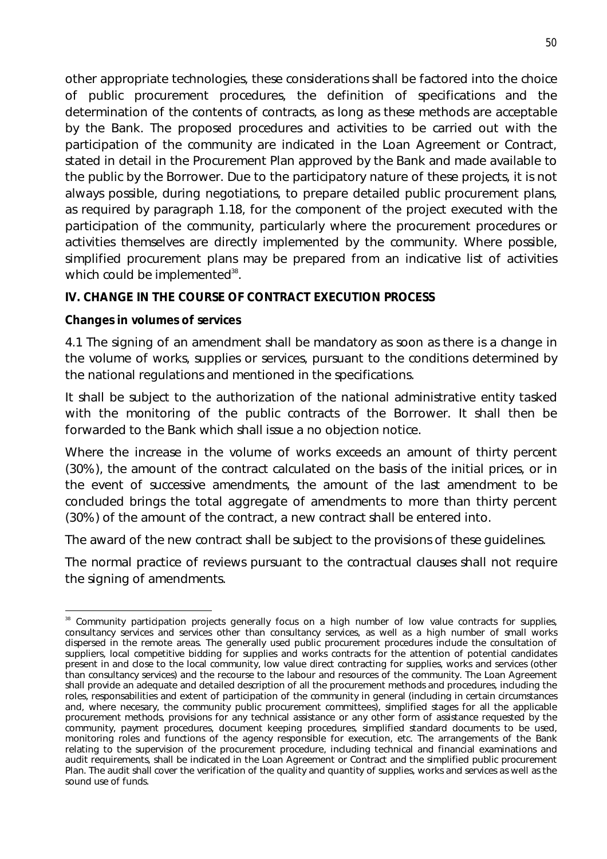other appropriate technologies, these considerations shall be factored into the choice of public procurement procedures, the definition of specifications and the determination of the contents of contracts, as long as these methods are acceptable by the Bank. The proposed procedures and activities to be carried out with the participation of the community are indicated in the Loan Agreement or Contract, stated in detail in the Procurement Plan approved by the Bank and made available to the public by the Borrower. Due to the participatory nature of these projects, it is not always possible, during negotiations, to prepare detailed public procurement plans, as required by paragraph 1.18, for the component of the project executed with the participation of the community, particularly where the procurement procedures or activities themselves are directly implemented by the community. Where possible, simplified procurement plans may be prepared from an indicative list of activities which could be implemented $^{38}$ .

### **IV. CHANGE IN THE COURSE OF CONTRACT EXECUTION PROCESS**

#### **Changes in volumes of services**

4.1 The signing of an amendment shall be mandatory as soon as there is a change in the volume of works, supplies or services, pursuant to the conditions determined by the national regulations and mentioned in the specifications.

It shall be subject to the authorization of the national administrative entity tasked with the monitoring of the public contracts of the Borrower. It shall then be forwarded to the Bank which shall issue a no objection notice.

Where the increase in the volume of works exceeds an amount of thirty percent (30%), the amount of the contract calculated on the basis of the initial prices, or in the event of successive amendments, the amount of the last amendment to be concluded brings the total aggregate of amendments to more than thirty percent (30%) of the amount of the contract, a new contract shall be entered into.

The award of the new contract shall be subject to the provisions of these guidelines.

The normal practice of reviews pursuant to the contractual clauses shall not require the signing of amendments.

 $\overline{a}$ <sup>38</sup> Community participation projects generally focus on a high number of low value contracts for supplies, consultancy services and services other than consultancy services, as well as a high number of small works dispersed in the remote areas. The generally used public procurement procedures include the consultation of suppliers, local competitive bidding for supplies and works contracts for the attention of potential candidates present in and close to the local community, low value direct contracting for supplies, works and services (other than consultancy services) and the recourse to the labour and resources of the community. The Loan Agreement shall provide an adequate and detailed description of all the procurement methods and procedures, including the roles, responsabilities and extent of participation of the community in general (including in certain circumstances and, where necesary, the community public procurement committees), simplified stages for all the applicable procurement methods, provisions for any technical assistance or any other form of assistance requested by the community, payment procedures, document keeping procedures, simplified standard documents to be used, monitoring roles and functions of the agency responsible for execution, etc. The arrangements of the Bank relating to the supervision of the procurement procedure, including technical and financial examinations and audit requirements, shall be indicated in the Loan Agreement or Contract and the simplified public procurement Plan. The audit shall cover the verification of the quality and quantity of supplies, works and services as well as the sound use of funds.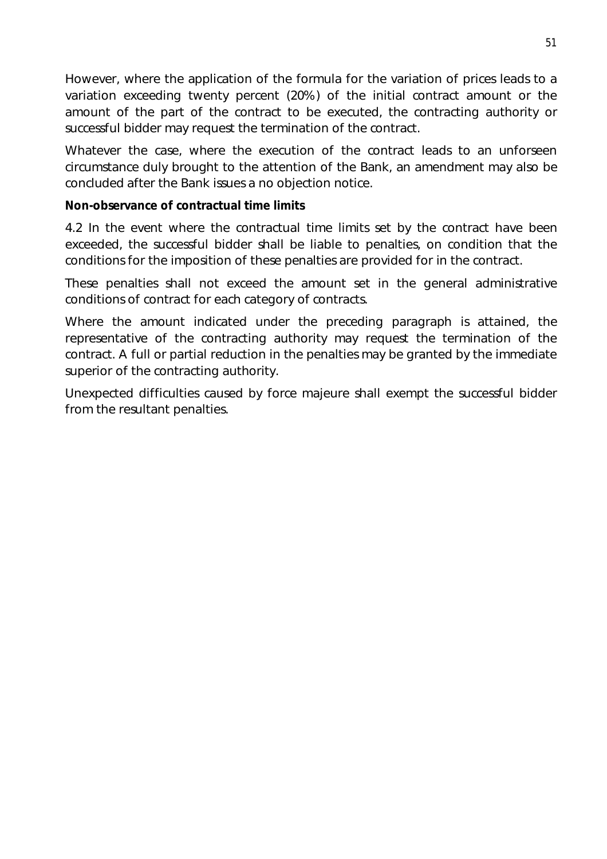However, where the application of the formula for the variation of prices leads to a variation exceeding twenty percent (20%) of the initial contract amount or the amount of the part of the contract to be executed, the contracting authority or successful bidder may request the termination of the contract.

Whatever the case, where the execution of the contract leads to an unforseen circumstance duly brought to the attention of the Bank, an amendment may also be concluded after the Bank issues a no objection notice.

#### **Non-observance of contractual time limits**

4.2 In the event where the contractual time limits set by the contract have been exceeded, the successful bidder shall be liable to penalties, on condition that the conditions for the imposition of these penalties are provided for in the contract.

These penalties shall not exceed the amount set in the general administrative conditions of contract for each category of contracts.

Where the amount indicated under the preceding paragraph is attained, the representative of the contracting authority may request the termination of the contract. A full or partial reduction in the penalties may be granted by the immediate superior of the contracting authority.

Unexpected difficulties caused by force majeure shall exempt the successful bidder from the resultant penalties.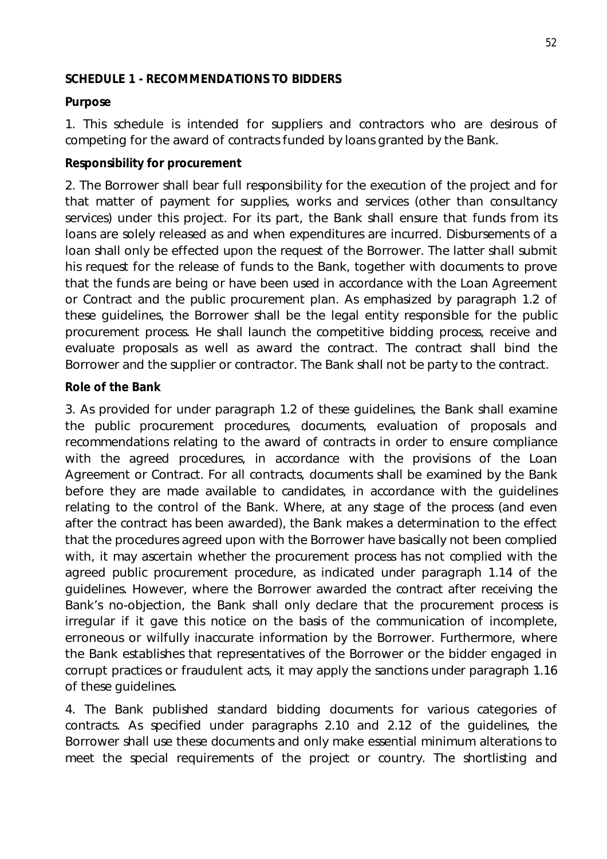#### **SCHEDULE 1 - RECOMMENDATIONS TO BIDDERS**

#### **Purpose**

1. This schedule is intended for suppliers and contractors who are desirous of competing for the award of contracts funded by loans granted by the Bank.

#### **Responsibility for procurement**

2. The Borrower shall bear full responsibility for the execution of the project and for that matter of payment for supplies, works and services (other than consultancy services) under this project. For its part, the Bank shall ensure that funds from its loans are solely released as and when expenditures are incurred. Disbursements of a loan shall only be effected upon the request of the Borrower. The latter shall submit his request for the release of funds to the Bank, together with documents to prove that the funds are being or have been used in accordance with the Loan Agreement or Contract and the public procurement plan. As emphasized by paragraph 1.2 of these guidelines, the Borrower shall be the legal entity responsible for the public procurement process. He shall launch the competitive bidding process, receive and evaluate proposals as well as award the contract. The contract shall bind the Borrower and the supplier or contractor. The Bank shall not be party to the contract.

#### **Role of the Bank**

3. As provided for under paragraph 1.2 of these guidelines, the Bank shall examine the public procurement procedures, documents, evaluation of proposals and recommendations relating to the award of contracts in order to ensure compliance with the agreed procedures, in accordance with the provisions of the Loan Agreement or Contract. For all contracts, documents shall be examined by the Bank before they are made available to candidates, in accordance with the guidelines relating to the control of the Bank. Where, at any stage of the process (and even after the contract has been awarded), the Bank makes a determination to the effect that the procedures agreed upon with the Borrower have basically not been complied with, it may ascertain whether the procurement process has not complied with the agreed public procurement procedure, as indicated under paragraph 1.14 of the guidelines. However, where the Borrower awarded the contract after receiving the Bank's no-objection, the Bank shall only declare that the procurement process is irregular if it gave this notice on the basis of the communication of incomplete, erroneous or wilfully inaccurate information by the Borrower. Furthermore, where the Bank establishes that representatives of the Borrower or the bidder engaged in corrupt practices or fraudulent acts, it may apply the sanctions under paragraph 1.16 of these guidelines.

4. The Bank published standard bidding documents for various categories of contracts. As specified under paragraphs 2.10 and 2.12 of the guidelines, the Borrower shall use these documents and only make essential minimum alterations to meet the special requirements of the project or country. The shortlisting and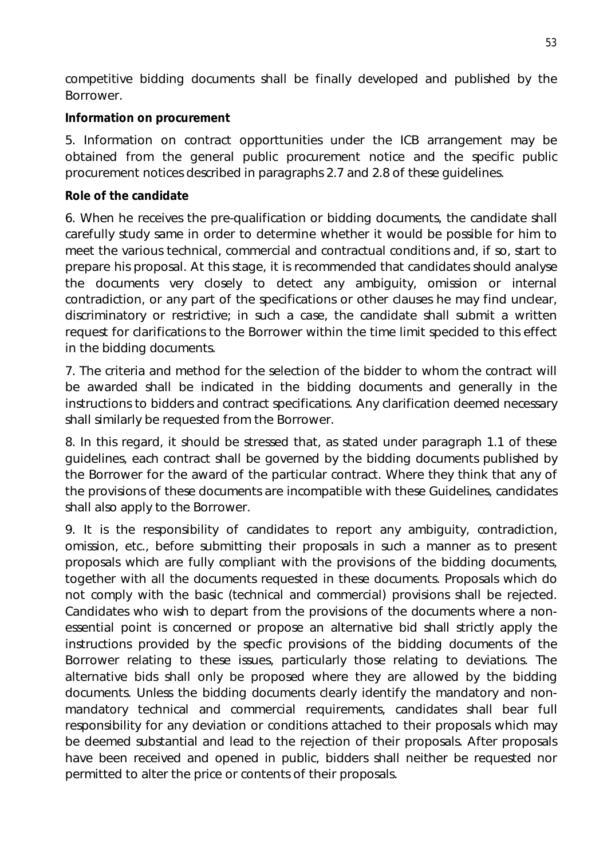competitive bidding documents shall be finally developed and published by the Borrower.

### **Information on procurement**

5. Information on contract opporttunities under the ICB arrangement may be obtained from the general public procurement notice and the specific public procurement notices described in paragraphs 2.7 and 2.8 of these guidelines.

### **Role of the candidate**

6. When he receives the pre-qualification or bidding documents, the candidate shall carefully study same in order to determine whether it would be possible for him to meet the various technical, commercial and contractual conditions and, if so, start to prepare his proposal. At this stage, it is recommended that candidates should analyse the documents very closely to detect any ambiguity, omission or internal contradiction, or any part of the specifications or other clauses he may find unclear, discriminatory or restrictive; in such a case, the candidate shall submit a written request for clarifications to the Borrower within the time limit specided to this effect in the bidding documents.

7. The criteria and method for the selection of the bidder to whom the contract will be awarded shall be indicated in the bidding documents and generally in the instructions to bidders and contract specifications. Any clarification deemed necessary shall similarly be requested from the Borrower.

8. In this regard, it should be stressed that, as stated under paragraph 1.1 of these guidelines, each contract shall be governed by the bidding documents published by the Borrower for the award of the particular contract. Where they think that any of the provisions of these documents are incompatible with these Guidelines, candidates shall also apply to the Borrower.

9. It is the responsibility of candidates to report any ambiguity, contradiction, omission, etc., before submitting their proposals in such a manner as to present proposals which are fully compliant with the provisions of the bidding documents, together with all the documents requested in these documents. Proposals which do not comply with the basic (technical and commercial) provisions shall be rejected. Candidates who wish to depart from the provisions of the documents where a nonessential point is concerned or propose an alternative bid shall strictly apply the instructions provided by the specfic provisions of the bidding documents of the Borrower relating to these issues, particularly those relating to deviations. The alternative bids shall only be proposed where they are allowed by the bidding documents. Unless the bidding documents clearly identify the mandatory and nonmandatory technical and commercial requirements, candidates shall bear full responsibility for any deviation or conditions attached to their proposals which may be deemed substantial and lead to the rejection of their proposals. After proposals have been received and opened in public, bidders shall neither be requested nor permitted to alter the price or contents of their proposals.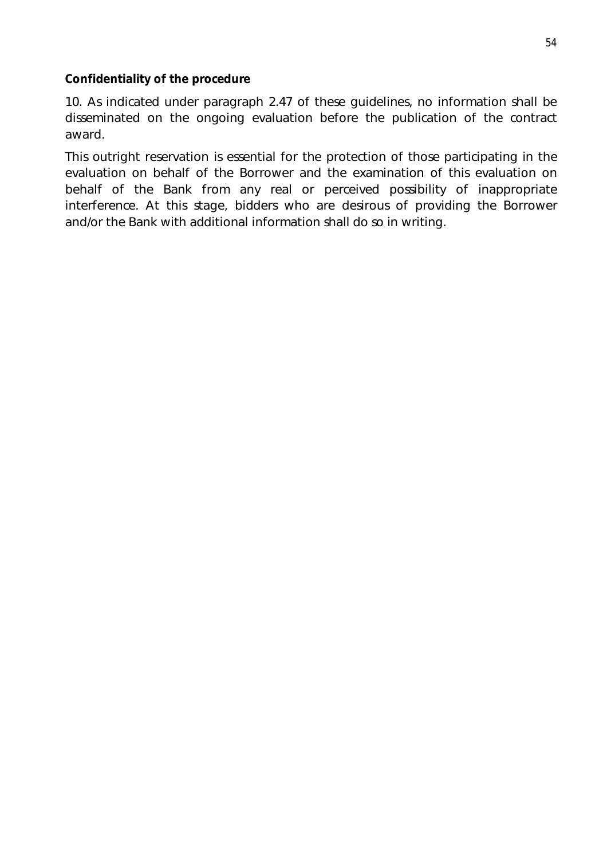#### **Confidentiality of the procedure**

10. As indicated under paragraph 2.47 of these guidelines, no information shall be disseminated on the ongoing evaluation before the publication of the contract award.

This outright reservation is essential for the protection of those participating in the evaluation on behalf of the Borrower and the examination of this evaluation on behalf of the Bank from any real or perceived possibility of inappropriate interference. At this stage, bidders who are desirous of providing the Borrower and/or the Bank with additional information shall do so in writing.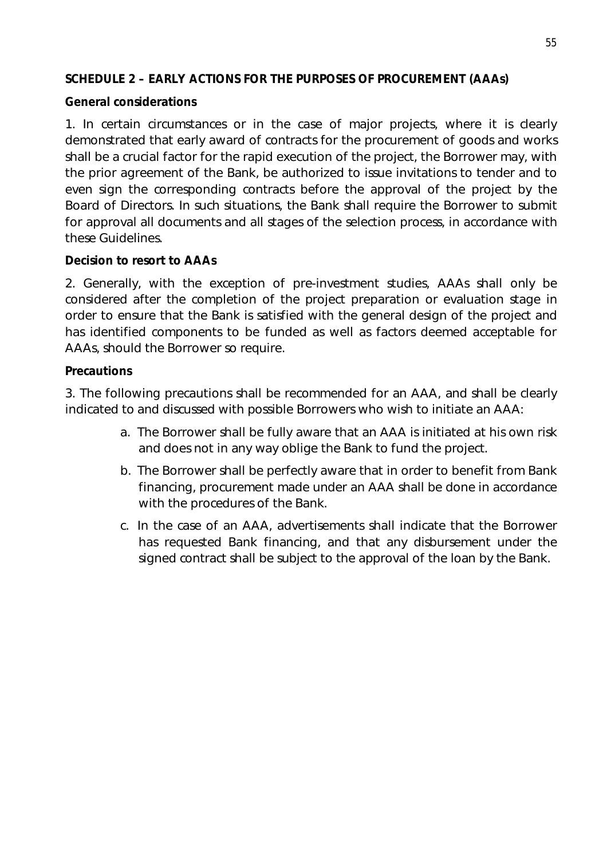# **SCHEDULE 2 – EARLY ACTIONS FOR THE PURPOSES OF PROCUREMENT (AAAs)**

### **General considerations**

1. In certain circumstances or in the case of major projects, where it is clearly demonstrated that early award of contracts for the procurement of goods and works shall be a crucial factor for the rapid execution of the project, the Borrower may, with the prior agreement of the Bank, be authorized to issue invitations to tender and to even sign the corresponding contracts before the approval of the project by the Board of Directors. In such situations, the Bank shall require the Borrower to submit for approval all documents and all stages of the selection process, in accordance with these Guidelines.

### **Decision to resort to AAAs**

2. Generally, with the exception of pre-investment studies, AAAs shall only be considered after the completion of the project preparation or evaluation stage in order to ensure that the Bank is satisfied with the general design of the project and has identified components to be funded as well as factors deemed acceptable for AAAs, should the Borrower so require.

#### **Precautions**

3. The following precautions shall be recommended for an AAA, and shall be clearly indicated to and discussed with possible Borrowers who wish to initiate an AAA:

- a. The Borrower shall be fully aware that an AAA is initiated at his own risk and does not in any way oblige the Bank to fund the project.
- b. The Borrower shall be perfectly aware that in order to benefit from Bank financing, procurement made under an AAA shall be done in accordance with the procedures of the Bank.
- c. In the case of an AAA, advertisements shall indicate that the Borrower has requested Bank financing, and that any disbursement under the signed contract shall be subject to the approval of the loan by the Bank.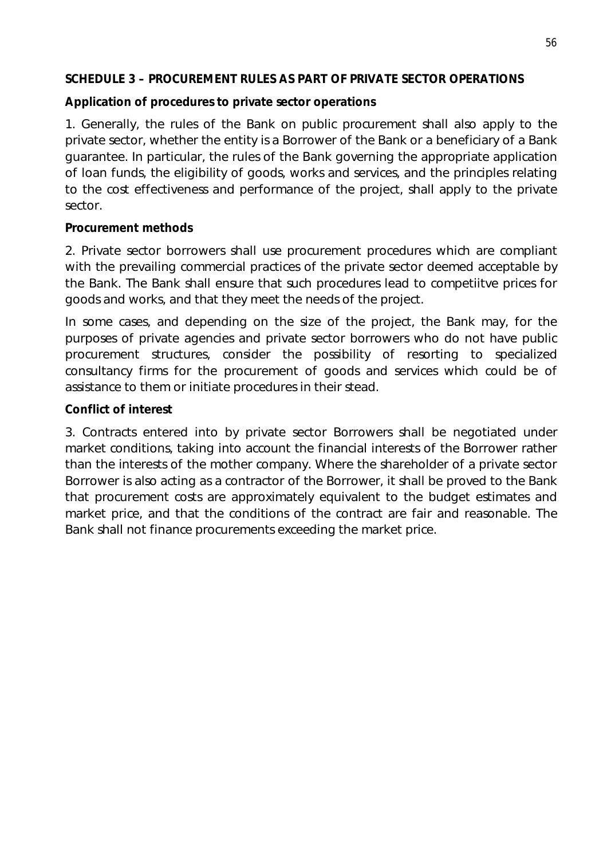### **SCHEDULE 3 – PROCUREMENT RULES AS PART OF PRIVATE SECTOR OPERATIONS**

### **Application of procedures to private sector operations**

1. Generally, the rules of the Bank on public procurement shall also apply to the private sector, whether the entity is a Borrower of the Bank or a beneficiary of a Bank guarantee. In particular, the rules of the Bank governing the appropriate application of loan funds, the eligibility of goods, works and services, and the principles relating to the cost effectiveness and performance of the project, shall apply to the private sector.

### **Procurement methods**

2. Private sector borrowers shall use procurement procedures which are compliant with the prevailing commercial practices of the private sector deemed acceptable by the Bank. The Bank shall ensure that such procedures lead to competiitve prices for goods and works, and that they meet the needs of the project.

In some cases, and depending on the size of the project, the Bank may, for the purposes of private agencies and private sector borrowers who do not have public procurement structures, consider the possibility of resorting to specialized consultancy firms for the procurement of goods and services which could be of assistance to them or initiate procedures in their stead.

# **Conflict of interest**

3. Contracts entered into by private sector Borrowers shall be negotiated under market conditions, taking into account the financial interests of the Borrower rather than the interests of the mother company. Where the shareholder of a private sector Borrower is also acting as a contractor of the Borrower, it shall be proved to the Bank that procurement costs are approximately equivalent to the budget estimates and market price, and that the conditions of the contract are fair and reasonable. The Bank shall not finance procurements exceeding the market price.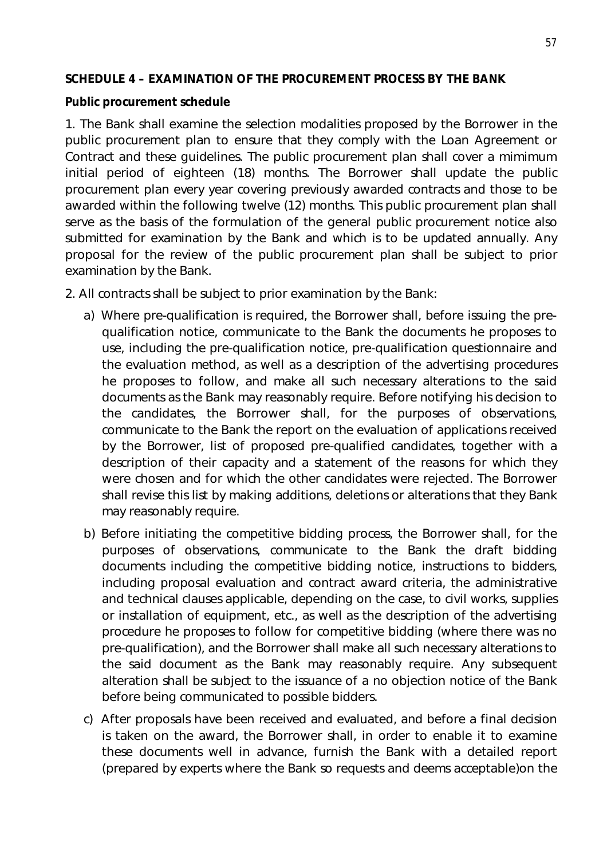#### **SCHEDULE 4 – EXAMINATION OF THE PROCUREMENT PROCESS BY THE BANK**

#### **Public procurement schedule**

1. The Bank shall examine the selection modalities proposed by the Borrower in the public procurement plan to ensure that they comply with the Loan Agreement or Contract and these guidelines. The public procurement plan shall cover a mimimum initial period of eighteen (18) months. The Borrower shall update the public procurement plan every year covering previously awarded contracts and those to be awarded within the following twelve (12) months. This public procurement plan shall serve as the basis of the formulation of the general public procurement notice also submitted for examination by the Bank and which is to be updated annually. Any proposal for the review of the public procurement plan shall be subject to prior examination by the Bank.

2. All contracts shall be subject to prior examination by the Bank:

- a) Where pre-qualification is required, the Borrower shall, before issuing the prequalification notice, communicate to the Bank the documents he proposes to use, including the pre-qualification notice, pre-qualification questionnaire and the evaluation method, as well as a description of the advertising procedures he proposes to follow, and make all such necessary alterations to the said documents as the Bank may reasonably require. Before notifying his decision to the candidates, the Borrower shall, for the purposes of observations, communicate to the Bank the report on the evaluation of applications received by the Borrower, list of proposed pre-qualified candidates, together with a description of their capacity and a statement of the reasons for which they were chosen and for which the other candidates were rejected. The Borrower shall revise this list by making additions, deletions or alterations that they Bank may reasonably require.
- b) Before initiating the competitive bidding process, the Borrower shall, for the purposes of observations, communicate to the Bank the draft bidding documents including the competitive bidding notice, instructions to bidders, including proposal evaluation and contract award criteria, the administrative and technical clauses applicable, depending on the case, to civil works, supplies or installation of equipment, etc., as well as the description of the advertising procedure he proposes to follow for competitive bidding (where there was no pre-qualification), and the Borrower shall make all such necessary alterations to the said document as the Bank may reasonably require. Any subsequent alteration shall be subject to the issuance of a no objection notice of the Bank before being communicated to possible bidders.
- c) After proposals have been received and evaluated, and before a final decision is taken on the award, the Borrower shall, in order to enable it to examine these documents well in advance, furnish the Bank with a detailed report (prepared by experts where the Bank so requests and deems acceptable)on the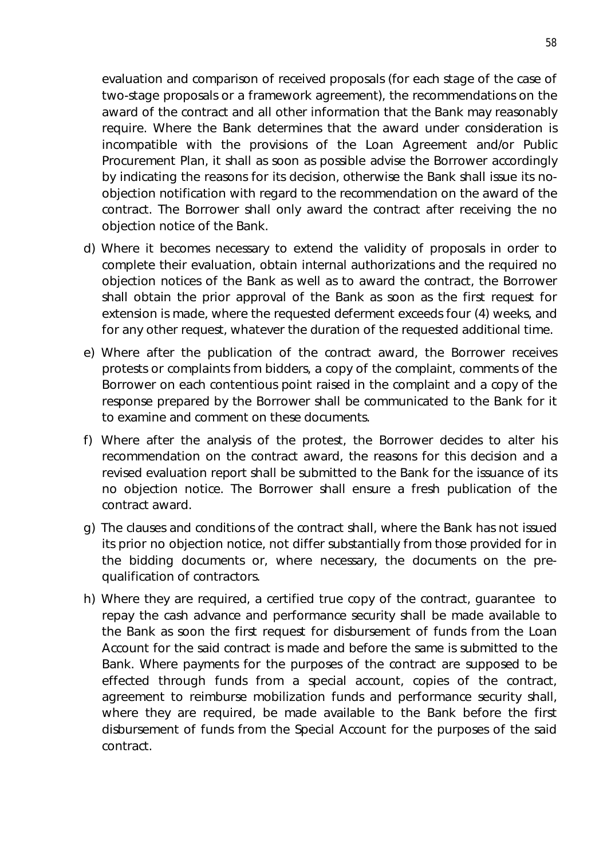evaluation and comparison of received proposals (for each stage of the case of two-stage proposals or a framework agreement), the recommendations on the award of the contract and all other information that the Bank may reasonably require. Where the Bank determines that the award under consideration is incompatible with the provisions of the Loan Agreement and/or Public Procurement Plan, it shall as soon as possible advise the Borrower accordingly by indicating the reasons for its decision, otherwise the Bank shall issue its noobjection notification with regard to the recommendation on the award of the contract. The Borrower shall only award the contract after receiving the no objection notice of the Bank.

- d) Where it becomes necessary to extend the validity of proposals in order to complete their evaluation, obtain internal authorizations and the required no objection notices of the Bank as well as to award the contract, the Borrower shall obtain the prior approval of the Bank as soon as the first request for extension is made, where the requested deferment exceeds four (4) weeks, and for any other request, whatever the duration of the requested additional time.
- e) Where after the publication of the contract award, the Borrower receives protests or complaints from bidders, a copy of the complaint, comments of the Borrower on each contentious point raised in the complaint and a copy of the response prepared by the Borrower shall be communicated to the Bank for it to examine and comment on these documents.
- f) Where after the analysis of the protest, the Borrower decides to alter his recommendation on the contract award, the reasons for this decision and a revised evaluation report shall be submitted to the Bank for the issuance of its no objection notice. The Borrower shall ensure a fresh publication of the contract award.
- g) The clauses and conditions of the contract shall, where the Bank has not issued its prior no objection notice, not differ substantially from those provided for in the bidding documents or, where necessary, the documents on the prequalification of contractors.
- h) Where they are required, a certified true copy of the contract, guarantee to repay the cash advance and performance security shall be made available to the Bank as soon the first request for disbursement of funds from the Loan Account for the said contract is made and before the same is submitted to the Bank. Where payments for the purposes of the contract are supposed to be effected through funds from a special account, copies of the contract, agreement to reimburse mobilization funds and performance security shall, where they are required, be made available to the Bank before the first disbursement of funds from the Special Account for the purposes of the said contract.